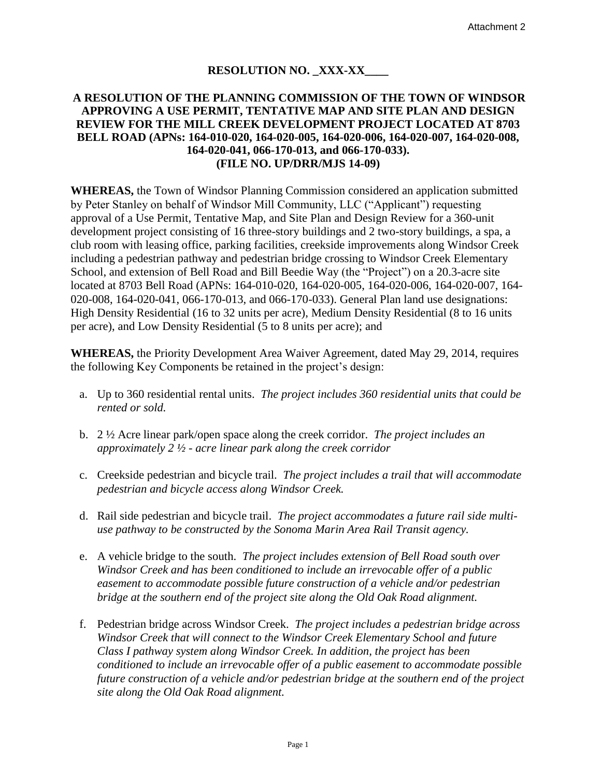# **RESOLUTION NO. XXX-XX**

## **A RESOLUTION OF THE PLANNING COMMISSION OF THE TOWN OF WINDSOR APPROVING A USE PERMIT, TENTATIVE MAP AND SITE PLAN AND DESIGN REVIEW FOR THE MILL CREEK DEVELOPMENT PROJECT LOCATED AT 8703 BELL ROAD (APNs: 164-010-020, 164-020-005, 164-020-006, 164-020-007, 164-020-008, 164-020-041, 066-170-013, and 066-170-033). (FILE NO. UP/DRR/MJS 14-09)**

**WHEREAS,** the Town of Windsor Planning Commission considered an application submitted by Peter Stanley on behalf of Windsor Mill Community, LLC ("Applicant") requesting approval of a Use Permit, Tentative Map, and Site Plan and Design Review for a 360-unit development project consisting of 16 three-story buildings and 2 two-story buildings, a spa, a club room with leasing office, parking facilities, creekside improvements along Windsor Creek including a pedestrian pathway and pedestrian bridge crossing to Windsor Creek Elementary School, and extension of Bell Road and Bill Beedie Way (the "Project") on a 20.3-acre site located at 8703 Bell Road (APNs: 164-010-020, 164-020-005, 164-020-006, 164-020-007, 164- 020-008, 164-020-041, 066-170-013, and 066-170-033). General Plan land use designations: High Density Residential (16 to 32 units per acre), Medium Density Residential (8 to 16 units per acre), and Low Density Residential (5 to 8 units per acre); and

**WHEREAS,** the Priority Development Area Waiver Agreement, dated May 29, 2014, requires the following Key Components be retained in the project's design:

- a. Up to 360 residential rental units. *The project includes 360 residential units that could be rented or sold.*
- b. 2 ½ Acre linear park/open space along the creek corridor. *The project includes an approximately 2 ½ - acre linear park along the creek corridor*
- c. Creekside pedestrian and bicycle trail. *The project includes a trail that will accommodate pedestrian and bicycle access along Windsor Creek.*
- d. Rail side pedestrian and bicycle trail. *The project accommodates a future rail side multiuse pathway to be constructed by the Sonoma Marin Area Rail Transit agency.*
- e. A vehicle bridge to the south. *The project includes extension of Bell Road south over Windsor Creek and has been conditioned to include an irrevocable offer of a public easement to accommodate possible future construction of a vehicle and/or pedestrian bridge at the southern end of the project site along the Old Oak Road alignment.*
- f. Pedestrian bridge across Windsor Creek. *The project includes a pedestrian bridge across Windsor Creek that will connect to the Windsor Creek Elementary School and future Class I pathway system along Windsor Creek. In addition, the project has been conditioned to include an irrevocable offer of a public easement to accommodate possible future construction of a vehicle and/or pedestrian bridge at the southern end of the project site along the Old Oak Road alignment.*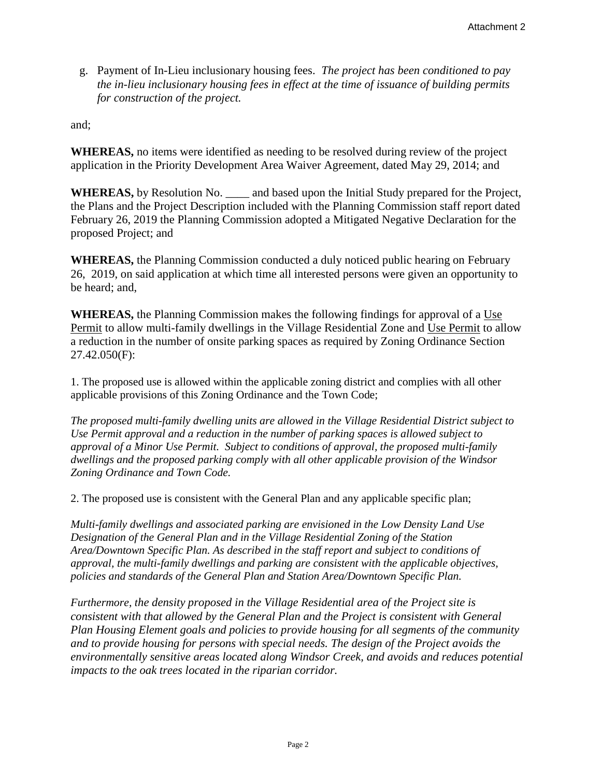g. Payment of In-Lieu inclusionary housing fees. *The project has been conditioned to pay the in-lieu inclusionary housing fees in effect at the time of issuance of building permits for construction of the project.*

and;

**WHEREAS,** no items were identified as needing to be resolved during review of the project application in the Priority Development Area Waiver Agreement, dated May 29, 2014; and

**WHEREAS,** by Resolution No. \_\_\_\_ and based upon the Initial Study prepared for the Project, the Plans and the Project Description included with the Planning Commission staff report dated February 26, 2019 the Planning Commission adopted a Mitigated Negative Declaration for the proposed Project; and

**WHEREAS,** the Planning Commission conducted a duly noticed public hearing on February 26, 2019, on said application at which time all interested persons were given an opportunity to be heard; and,

**WHEREAS,** the Planning Commission makes the following findings for approval of a Use Permit to allow multi-family dwellings in the Village Residential Zone and Use Permit to allow a reduction in the number of onsite parking spaces as required by Zoning Ordinance Section 27.42.050(F):

1. The proposed use is allowed within the applicable zoning district and complies with all other applicable provisions of this Zoning Ordinance and the Town Code;

*The proposed multi-family dwelling units are allowed in the Village Residential District subject to Use Permit approval and a reduction in the number of parking spaces is allowed subject to approval of a Minor Use Permit. Subject to conditions of approval, the proposed multi-family dwellings and the proposed parking comply with all other applicable provision of the Windsor Zoning Ordinance and Town Code.*

2. The proposed use is consistent with the General Plan and any applicable specific plan;

*Multi-family dwellings and associated parking are envisioned in the Low Density Land Use Designation of the General Plan and in the Village Residential Zoning of the Station Area/Downtown Specific Plan. As described in the staff report and subject to conditions of approval, the multi-family dwellings and parking are consistent with the applicable objectives, policies and standards of the General Plan and Station Area/Downtown Specific Plan.* 

*Furthermore, the density proposed in the Village Residential area of the Project site is consistent with that allowed by the General Plan and the Project is consistent with General Plan Housing Element goals and policies to provide housing for all segments of the community and to provide housing for persons with special needs. The design of the Project avoids the environmentally sensitive areas located along Windsor Creek, and avoids and reduces potential impacts to the oak trees located in the riparian corridor.*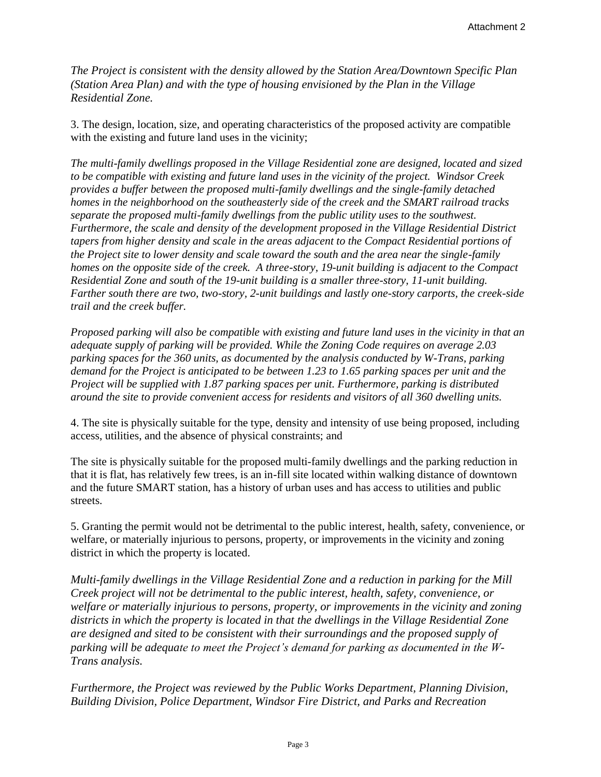*The Project is consistent with the density allowed by the Station Area/Downtown Specific Plan (Station Area Plan) and with the type of housing envisioned by the Plan in the Village Residential Zone.* 

3. The design, location, size, and operating characteristics of the proposed activity are compatible with the existing and future land uses in the vicinity;

*The multi-family dwellings proposed in the Village Residential zone are designed, located and sized to be compatible with existing and future land uses in the vicinity of the project. Windsor Creek provides a buffer between the proposed multi-family dwellings and the single-family detached homes in the neighborhood on the southeasterly side of the creek and the SMART railroad tracks separate the proposed multi-family dwellings from the public utility uses to the southwest. Furthermore, the scale and density of the development proposed in the Village Residential District tapers from higher density and scale in the areas adjacent to the Compact Residential portions of the Project site to lower density and scale toward the south and the area near the single-family homes on the opposite side of the creek. A three-story, 19-unit building is adjacent to the Compact Residential Zone and south of the 19-unit building is a smaller three-story, 11-unit building. Farther south there are two, two-story, 2-unit buildings and lastly one-story carports, the creek-side trail and the creek buffer.* 

*Proposed parking will also be compatible with existing and future land uses in the vicinity in that an adequate supply of parking will be provided. While the Zoning Code requires on average 2.03 parking spaces for the 360 units, as documented by the analysis conducted by W-Trans, parking demand for the Project is anticipated to be between 1.23 to 1.65 parking spaces per unit and the Project will be supplied with 1.87 parking spaces per unit. Furthermore, parking is distributed around the site to provide convenient access for residents and visitors of all 360 dwelling units.* 

4. The site is physically suitable for the type, density and intensity of use being proposed, including access, utilities, and the absence of physical constraints; and

The site is physically suitable for the proposed multi-family dwellings and the parking reduction in that it is flat, has relatively few trees, is an in-fill site located within walking distance of downtown and the future SMART station, has a history of urban uses and has access to utilities and public streets.

5. Granting the permit would not be detrimental to the public interest, health, safety, convenience, or welfare, or materially injurious to persons, property, or improvements in the vicinity and zoning district in which the property is located.

*Multi-family dwellings in the Village Residential Zone and a reduction in parking for the Mill Creek project will not be detrimental to the public interest, health, safety, convenience, or welfare or materially injurious to persons, property, or improvements in the vicinity and zoning districts in which the property is located in that the dwellings in the Village Residential Zone are designed and sited to be consistent with their surroundings and the proposed supply of parking will be adequate to meet the Project's demand for parking as documented in the W-Trans analysis.*

*Furthermore, the Project was reviewed by the Public Works Department, Planning Division, Building Division, Police Department, Windsor Fire District, and Parks and Recreation*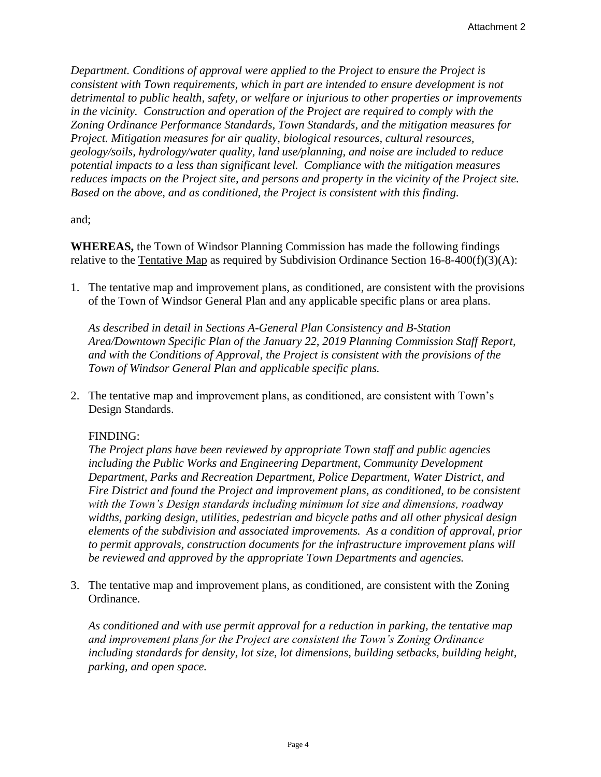*Department. Conditions of approval were applied to the Project to ensure the Project is consistent with Town requirements, which in part are intended to ensure development is not detrimental to public health, safety, or welfare or injurious to other properties or improvements in the vicinity. Construction and operation of the Project are required to comply with the Zoning Ordinance Performance Standards, Town Standards, and the mitigation measures for Project. Mitigation measures for air quality, biological resources, cultural resources, geology/soils, hydrology/water quality, land use/planning, and noise are included to reduce potential impacts to a less than significant level. Compliance with the mitigation measures reduces impacts on the Project site, and persons and property in the vicinity of the Project site. Based on the above, and as conditioned, the Project is consistent with this finding.*

and;

**WHEREAS,** the Town of Windsor Planning Commission has made the following findings relative to the Tentative Map as required by Subdivision Ordinance Section 16-8-400(f)(3)(A):

1. The tentative map and improvement plans, as conditioned, are consistent with the provisions of the Town of Windsor General Plan and any applicable specific plans or area plans.

*As described in detail in Sections A-General Plan Consistency and B-Station Area/Downtown Specific Plan of the January 22, 2019 Planning Commission Staff Report, and with the Conditions of Approval, the Project is consistent with the provisions of the Town of Windsor General Plan and applicable specific plans.*

2. The tentative map and improvement plans, as conditioned, are consistent with Town's Design Standards.

## FINDING:

*The Project plans have been reviewed by appropriate Town staff and public agencies including the Public Works and Engineering Department, Community Development Department, Parks and Recreation Department, Police Department, Water District, and Fire District and found the Project and improvement plans, as conditioned, to be consistent with the Town's Design standards including minimum lot size and dimensions, roadway widths, parking design, utilities, pedestrian and bicycle paths and all other physical design elements of the subdivision and associated improvements. As a condition of approval, prior to permit approvals, construction documents for the infrastructure improvement plans will be reviewed and approved by the appropriate Town Departments and agencies.*

3. The tentative map and improvement plans, as conditioned, are consistent with the Zoning Ordinance.

*As conditioned and with use permit approval for a reduction in parking, the tentative map and improvement plans for the Project are consistent the Town's Zoning Ordinance including standards for density, lot size, lot dimensions, building setbacks, building height, parking, and open space.*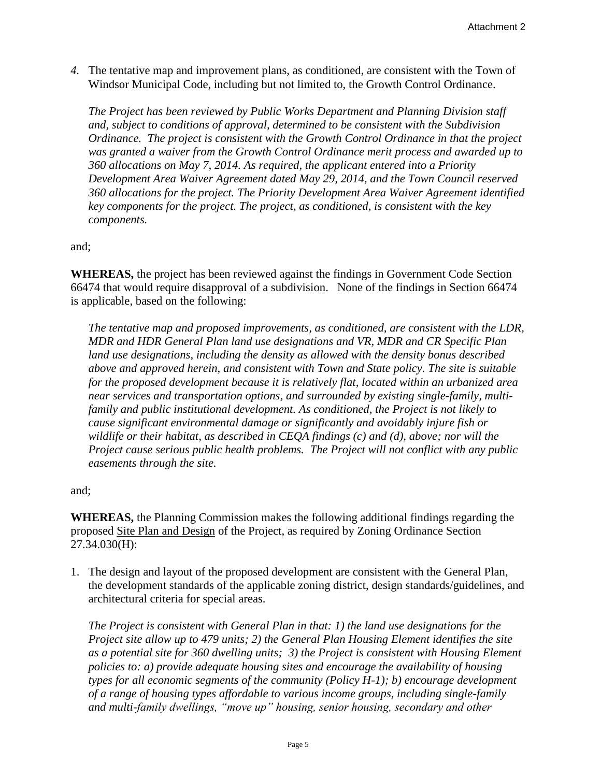*4.* The tentative map and improvement plans, as conditioned, are consistent with the Town of Windsor Municipal Code, including but not limited to, the Growth Control Ordinance.

*The Project has been reviewed by Public Works Department and Planning Division staff and, subject to conditions of approval, determined to be consistent with the Subdivision Ordinance. The project is consistent with the Growth Control Ordinance in that the project was granted a waiver from the Growth Control Ordinance merit process and awarded up to 360 allocations on May 7, 2014. As required, the applicant entered into a Priority Development Area Waiver Agreement dated May 29, 2014, and the Town Council reserved 360 allocations for the project. The Priority Development Area Waiver Agreement identified key components for the project. The project, as conditioned, is consistent with the key components.*

and;

**WHEREAS,** the project has been reviewed against the findings in Government Code Section 66474 that would require disapproval of a subdivision. None of the findings in Section 66474 is applicable, based on the following:

*The tentative map and proposed improvements, as conditioned, are consistent with the LDR, MDR and HDR General Plan land use designations and VR, MDR and CR Specific Plan land use designations, including the density as allowed with the density bonus described above and approved herein, and consistent with Town and State policy. The site is suitable for the proposed development because it is relatively flat, located within an urbanized area near services and transportation options, and surrounded by existing single-family, multifamily and public institutional development. As conditioned, the Project is not likely to cause significant environmental damage or significantly and avoidably injure fish or wildlife or their habitat, as described in CEQA findings (c) and (d), above; nor will the Project cause serious public health problems. The Project will not conflict with any public easements through the site.*

and;

**WHEREAS,** the Planning Commission makes the following additional findings regarding the proposed Site Plan and Design of the Project, as required by Zoning Ordinance Section 27.34.030(H):

1. The design and layout of the proposed development are consistent with the General Plan, the development standards of the applicable zoning district, design standards/guidelines, and architectural criteria for special areas.

*The Project is consistent with General Plan in that: 1) the land use designations for the Project site allow up to 479 units; 2) the General Plan Housing Element identifies the site as a potential site for 360 dwelling units; 3) the Project is consistent with Housing Element policies to: a) provide adequate housing sites and encourage the availability of housing types for all economic segments of the community (Policy H-1); b) encourage development of a range of housing types affordable to various income groups, including single-family and multi-family dwellings, "move up" housing, senior housing, secondary and other*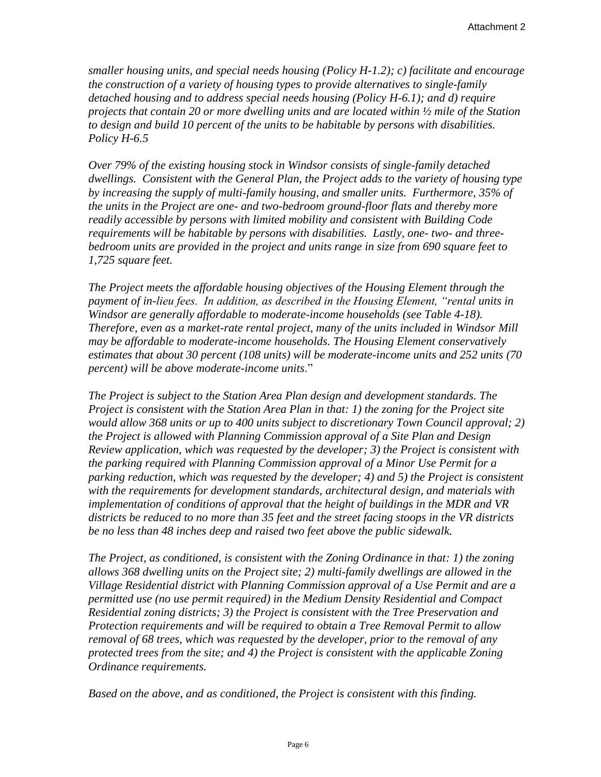*smaller housing units, and special needs housing (Policy H-1.2); c) facilitate and encourage the construction of a variety of housing types to provide alternatives to single-family detached housing and to address special needs housing (Policy H-6.1); and d) require projects that contain 20 or more dwelling units and are located within ½ mile of the Station to design and build 10 percent of the units to be habitable by persons with disabilities. Policy H-6.5*

*Over 79% of the existing housing stock in Windsor consists of single-family detached dwellings. Consistent with the General Plan, the Project adds to the variety of housing type by increasing the supply of multi-family housing, and smaller units. Furthermore, 35% of the units in the Project are one- and two-bedroom ground-floor flats and thereby more readily accessible by persons with limited mobility and consistent with Building Code requirements will be habitable by persons with disabilities. Lastly, one- two- and threebedroom units are provided in the project and units range in size from 690 square feet to 1,725 square feet.*

*The Project meets the affordable housing objectives of the Housing Element through the payment of in-lieu fees. In addition, as described in the Housing Element, "rental units in Windsor are generally affordable to moderate-income households (see Table 4-18). Therefore, even as a market-rate rental project, many of the units included in Windsor Mill may be affordable to moderate-income households. The Housing Element conservatively estimates that about 30 percent (108 units) will be moderate-income units and 252 units (70 percent) will be above moderate-income units*."

*The Project is subject to the Station Area Plan design and development standards. The Project is consistent with the Station Area Plan in that: 1) the zoning for the Project site would allow 368 units or up to 400 units subject to discretionary Town Council approval; 2) the Project is allowed with Planning Commission approval of a Site Plan and Design Review application, which was requested by the developer; 3) the Project is consistent with the parking required with Planning Commission approval of a Minor Use Permit for a parking reduction, which was requested by the developer; 4) and 5) the Project is consistent with the requirements for development standards, architectural design, and materials with implementation of conditions of approval that the height of buildings in the MDR and VR districts be reduced to no more than 35 feet and the street facing stoops in the VR districts be no less than 48 inches deep and raised two feet above the public sidewalk.*

*The Project, as conditioned, is consistent with the Zoning Ordinance in that: 1) the zoning allows 368 dwelling units on the Project site; 2) multi-family dwellings are allowed in the Village Residential district with Planning Commission approval of a Use Permit and are a permitted use (no use permit required) in the Medium Density Residential and Compact Residential zoning districts; 3) the Project is consistent with the Tree Preservation and Protection requirements and will be required to obtain a Tree Removal Permit to allow removal of 68 trees, which was requested by the developer, prior to the removal of any protected trees from the site; and 4) the Project is consistent with the applicable Zoning Ordinance requirements.* 

*Based on the above, and as conditioned, the Project is consistent with this finding.*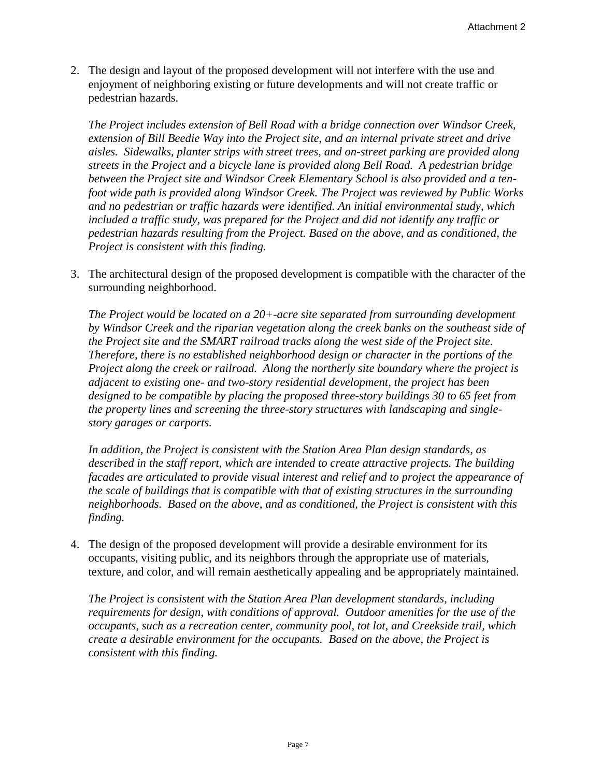2. The design and layout of the proposed development will not interfere with the use and enjoyment of neighboring existing or future developments and will not create traffic or pedestrian hazards.

*The Project includes extension of Bell Road with a bridge connection over Windsor Creek, extension of Bill Beedie Way into the Project site, and an internal private street and drive aisles. Sidewalks, planter strips with street trees, and on-street parking are provided along streets in the Project and a bicycle lane is provided along Bell Road. A pedestrian bridge between the Project site and Windsor Creek Elementary School is also provided and a tenfoot wide path is provided along Windsor Creek. The Project was reviewed by Public Works and no pedestrian or traffic hazards were identified. An initial environmental study, which included a traffic study, was prepared for the Project and did not identify any traffic or pedestrian hazards resulting from the Project. Based on the above, and as conditioned, the Project is consistent with this finding.*

3. The architectural design of the proposed development is compatible with the character of the surrounding neighborhood.

*The Project would be located on a 20+-acre site separated from surrounding development by Windsor Creek and the riparian vegetation along the creek banks on the southeast side of the Project site and the SMART railroad tracks along the west side of the Project site. Therefore, there is no established neighborhood design or character in the portions of the Project along the creek or railroad. Along the northerly site boundary where the project is adjacent to existing one- and two-story residential development, the project has been designed to be compatible by placing the proposed three-story buildings 30 to 65 feet from the property lines and screening the three-story structures with landscaping and singlestory garages or carports.* 

*In addition, the Project is consistent with the Station Area Plan design standards, as described in the staff report, which are intended to create attractive projects. The building facades are articulated to provide visual interest and relief and to project the appearance of the scale of buildings that is compatible with that of existing structures in the surrounding neighborhoods. Based on the above, and as conditioned, the Project is consistent with this finding.*

4. The design of the proposed development will provide a desirable environment for its occupants, visiting public, and its neighbors through the appropriate use of materials, texture, and color, and will remain aesthetically appealing and be appropriately maintained.

*The Project is consistent with the Station Area Plan development standards, including requirements for design, with conditions of approval. Outdoor amenities for the use of the occupants, such as a recreation center, community pool, tot lot, and Creekside trail, which create a desirable environment for the occupants. Based on the above, the Project is consistent with this finding.*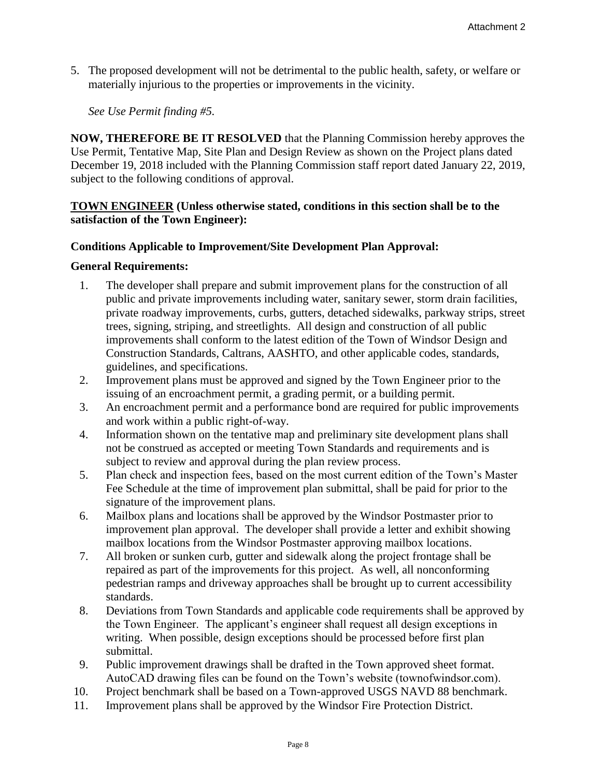5. The proposed development will not be detrimental to the public health, safety, or welfare or materially injurious to the properties or improvements in the vicinity.

*See Use Permit finding #5.* 

**NOW, THEREFORE BE IT RESOLVED** that the Planning Commission hereby approves the Use Permit, Tentative Map, Site Plan and Design Review as shown on the Project plans dated December 19, 2018 included with the Planning Commission staff report dated January 22, 2019, subject to the following conditions of approval.

# **TOWN ENGINEER (Unless otherwise stated, conditions in this section shall be to the satisfaction of the Town Engineer):**

# **Conditions Applicable to Improvement/Site Development Plan Approval:**

#### **General Requirements:**

- 1. The developer shall prepare and submit improvement plans for the construction of all public and private improvements including water, sanitary sewer, storm drain facilities, private roadway improvements, curbs, gutters, detached sidewalks, parkway strips, street trees, signing, striping, and streetlights. All design and construction of all public improvements shall conform to the latest edition of the Town of Windsor Design and Construction Standards, Caltrans, AASHTO, and other applicable codes, standards, guidelines, and specifications.
- 2. Improvement plans must be approved and signed by the Town Engineer prior to the issuing of an encroachment permit, a grading permit, or a building permit.
- 3. An encroachment permit and a performance bond are required for public improvements and work within a public right-of-way.
- 4. Information shown on the tentative map and preliminary site development plans shall not be construed as accepted or meeting Town Standards and requirements and is subject to review and approval during the plan review process.
- 5. Plan check and inspection fees, based on the most current edition of the Town's Master Fee Schedule at the time of improvement plan submittal, shall be paid for prior to the signature of the improvement plans.
- 6. Mailbox plans and locations shall be approved by the Windsor Postmaster prior to improvement plan approval. The developer shall provide a letter and exhibit showing mailbox locations from the Windsor Postmaster approving mailbox locations.
- 7. All broken or sunken curb, gutter and sidewalk along the project frontage shall be repaired as part of the improvements for this project. As well, all nonconforming pedestrian ramps and driveway approaches shall be brought up to current accessibility standards.
- 8. Deviations from Town Standards and applicable code requirements shall be approved by the Town Engineer. The applicant's engineer shall request all design exceptions in writing. When possible, design exceptions should be processed before first plan submittal.
- 9. Public improvement drawings shall be drafted in the Town approved sheet format. AutoCAD drawing files can be found on the Town's website (townofwindsor.com).
- 10. Project benchmark shall be based on a Town-approved USGS NAVD 88 benchmark.
- 11. Improvement plans shall be approved by the Windsor Fire Protection District.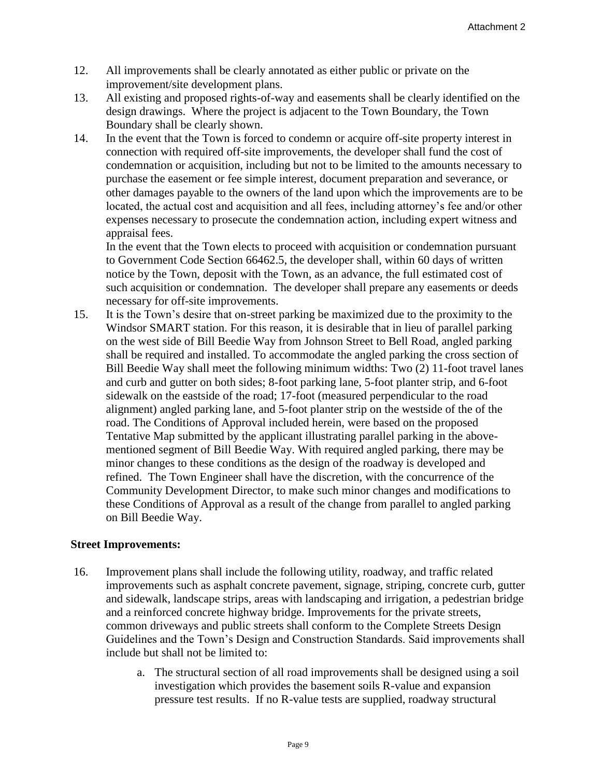- 12. All improvements shall be clearly annotated as either public or private on the improvement/site development plans.
- 13. All existing and proposed rights-of-way and easements shall be clearly identified on the design drawings. Where the project is adjacent to the Town Boundary, the Town Boundary shall be clearly shown.
- 14. In the event that the Town is forced to condemn or acquire off-site property interest in connection with required off-site improvements, the developer shall fund the cost of condemnation or acquisition, including but not to be limited to the amounts necessary to purchase the easement or fee simple interest, document preparation and severance, or other damages payable to the owners of the land upon which the improvements are to be located, the actual cost and acquisition and all fees, including attorney's fee and/or other expenses necessary to prosecute the condemnation action, including expert witness and appraisal fees.

In the event that the Town elects to proceed with acquisition or condemnation pursuant to Government Code Section 66462.5, the developer shall, within 60 days of written notice by the Town, deposit with the Town, as an advance, the full estimated cost of such acquisition or condemnation. The developer shall prepare any easements or deeds necessary for off-site improvements.

15. It is the Town's desire that on-street parking be maximized due to the proximity to the Windsor SMART station. For this reason, it is desirable that in lieu of parallel parking on the west side of Bill Beedie Way from Johnson Street to Bell Road, angled parking shall be required and installed. To accommodate the angled parking the cross section of Bill Beedie Way shall meet the following minimum widths: Two (2) 11-foot travel lanes and curb and gutter on both sides; 8-foot parking lane, 5-foot planter strip, and 6-foot sidewalk on the eastside of the road; 17-foot (measured perpendicular to the road alignment) angled parking lane, and 5-foot planter strip on the westside of the of the road. The Conditions of Approval included herein, were based on the proposed Tentative Map submitted by the applicant illustrating parallel parking in the abovementioned segment of Bill Beedie Way. With required angled parking, there may be minor changes to these conditions as the design of the roadway is developed and refined. The Town Engineer shall have the discretion, with the concurrence of the Community Development Director, to make such minor changes and modifications to these Conditions of Approval as a result of the change from parallel to angled parking on Bill Beedie Way.

## **Street Improvements:**

- 16. Improvement plans shall include the following utility, roadway, and traffic related improvements such as asphalt concrete pavement, signage, striping, concrete curb, gutter and sidewalk, landscape strips, areas with landscaping and irrigation, a pedestrian bridge and a reinforced concrete highway bridge. Improvements for the private streets, common driveways and public streets shall conform to the Complete Streets Design Guidelines and the Town's Design and Construction Standards. Said improvements shall include but shall not be limited to:
	- a. The structural section of all road improvements shall be designed using a soil investigation which provides the basement soils R-value and expansion pressure test results. If no R-value tests are supplied, roadway structural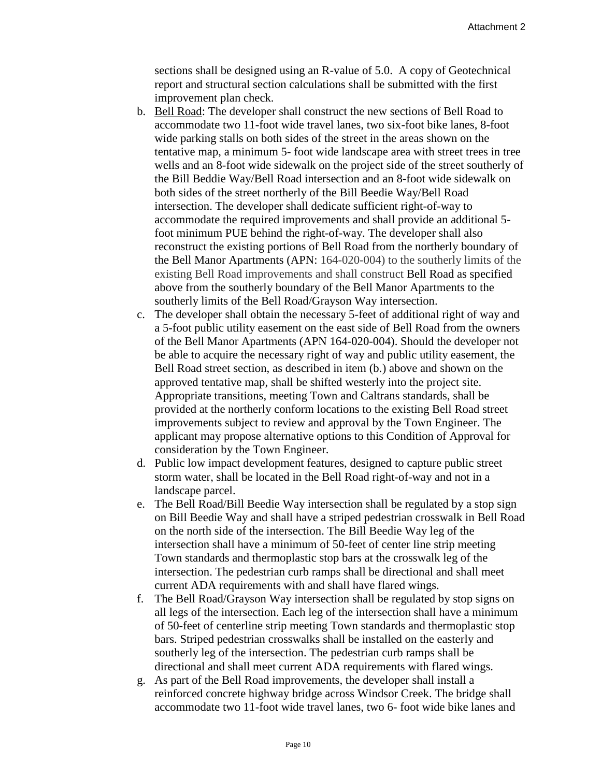sections shall be designed using an R-value of 5.0. A copy of Geotechnical report and structural section calculations shall be submitted with the first improvement plan check.

- b. Bell Road: The developer shall construct the new sections of Bell Road to accommodate two 11-foot wide travel lanes, two six-foot bike lanes, 8-foot wide parking stalls on both sides of the street in the areas shown on the tentative map, a minimum 5- foot wide landscape area with street trees in tree wells and an 8-foot wide sidewalk on the project side of the street southerly of the Bill Beddie Way/Bell Road intersection and an 8-foot wide sidewalk on both sides of the street northerly of the Bill Beedie Way/Bell Road intersection. The developer shall dedicate sufficient right-of-way to accommodate the required improvements and shall provide an additional 5 foot minimum PUE behind the right-of-way. The developer shall also reconstruct the existing portions of Bell Road from the northerly boundary of the Bell Manor Apartments (APN: 164-020-004) to the southerly limits of the existing Bell Road improvements and shall construct Bell Road as specified above from the southerly boundary of the Bell Manor Apartments to the southerly limits of the Bell Road/Grayson Way intersection.
- c. The developer shall obtain the necessary 5-feet of additional right of way and a 5-foot public utility easement on the east side of Bell Road from the owners of the Bell Manor Apartments (APN 164-020-004). Should the developer not be able to acquire the necessary right of way and public utility easement, the Bell Road street section, as described in item (b.) above and shown on the approved tentative map, shall be shifted westerly into the project site. Appropriate transitions, meeting Town and Caltrans standards, shall be provided at the northerly conform locations to the existing Bell Road street improvements subject to review and approval by the Town Engineer. The applicant may propose alternative options to this Condition of Approval for consideration by the Town Engineer.
- d. Public low impact development features, designed to capture public street storm water, shall be located in the Bell Road right-of-way and not in a landscape parcel.
- e. The Bell Road/Bill Beedie Way intersection shall be regulated by a stop sign on Bill Beedie Way and shall have a striped pedestrian crosswalk in Bell Road on the north side of the intersection. The Bill Beedie Way leg of the intersection shall have a minimum of 50-feet of center line strip meeting Town standards and thermoplastic stop bars at the crosswalk leg of the intersection. The pedestrian curb ramps shall be directional and shall meet current ADA requirements with and shall have flared wings.
- f. The Bell Road/Grayson Way intersection shall be regulated by stop signs on all legs of the intersection. Each leg of the intersection shall have a minimum of 50-feet of centerline strip meeting Town standards and thermoplastic stop bars. Striped pedestrian crosswalks shall be installed on the easterly and southerly leg of the intersection. The pedestrian curb ramps shall be directional and shall meet current ADA requirements with flared wings.
- g. As part of the Bell Road improvements, the developer shall install a reinforced concrete highway bridge across Windsor Creek. The bridge shall accommodate two 11-foot wide travel lanes, two 6- foot wide bike lanes and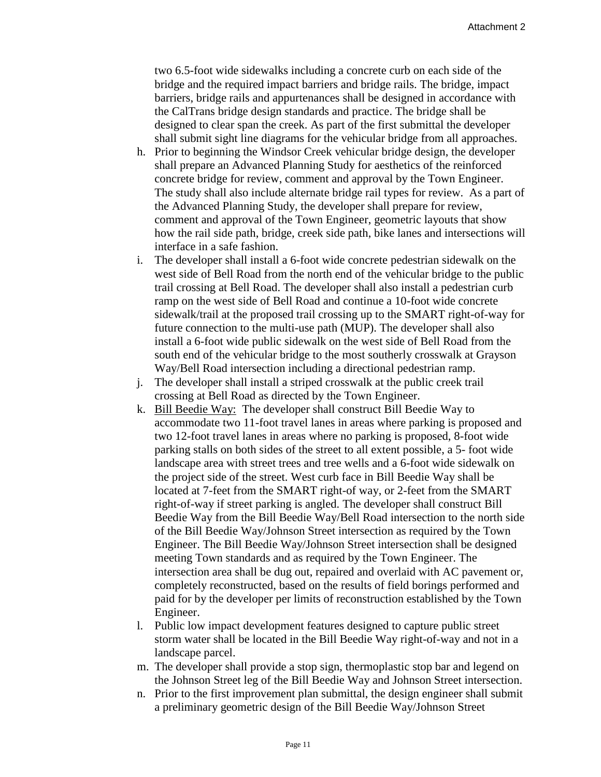two 6.5-foot wide sidewalks including a concrete curb on each side of the bridge and the required impact barriers and bridge rails. The bridge, impact barriers, bridge rails and appurtenances shall be designed in accordance with the CalTrans bridge design standards and practice. The bridge shall be designed to clear span the creek. As part of the first submittal the developer shall submit sight line diagrams for the vehicular bridge from all approaches.

- h. Prior to beginning the Windsor Creek vehicular bridge design, the developer shall prepare an Advanced Planning Study for aesthetics of the reinforced concrete bridge for review, comment and approval by the Town Engineer. The study shall also include alternate bridge rail types for review. As a part of the Advanced Planning Study, the developer shall prepare for review, comment and approval of the Town Engineer, geometric layouts that show how the rail side path, bridge, creek side path, bike lanes and intersections will interface in a safe fashion.
- i. The developer shall install a 6-foot wide concrete pedestrian sidewalk on the west side of Bell Road from the north end of the vehicular bridge to the public trail crossing at Bell Road. The developer shall also install a pedestrian curb ramp on the west side of Bell Road and continue a 10-foot wide concrete sidewalk/trail at the proposed trail crossing up to the SMART right-of-way for future connection to the multi-use path (MUP). The developer shall also install a 6-foot wide public sidewalk on the west side of Bell Road from the south end of the vehicular bridge to the most southerly crosswalk at Grayson Way/Bell Road intersection including a directional pedestrian ramp.
- j. The developer shall install a striped crosswalk at the public creek trail crossing at Bell Road as directed by the Town Engineer.
- k. Bill Beedie Way: The developer shall construct Bill Beedie Way to accommodate two 11-foot travel lanes in areas where parking is proposed and two 12-foot travel lanes in areas where no parking is proposed, 8-foot wide parking stalls on both sides of the street to all extent possible, a 5- foot wide landscape area with street trees and tree wells and a 6-foot wide sidewalk on the project side of the street. West curb face in Bill Beedie Way shall be located at 7-feet from the SMART right-of way, or 2-feet from the SMART right-of-way if street parking is angled. The developer shall construct Bill Beedie Way from the Bill Beedie Way/Bell Road intersection to the north side of the Bill Beedie Way/Johnson Street intersection as required by the Town Engineer. The Bill Beedie Way/Johnson Street intersection shall be designed meeting Town standards and as required by the Town Engineer. The intersection area shall be dug out, repaired and overlaid with AC pavement or, completely reconstructed, based on the results of field borings performed and paid for by the developer per limits of reconstruction established by the Town Engineer.
- l. Public low impact development features designed to capture public street storm water shall be located in the Bill Beedie Way right-of-way and not in a landscape parcel.
- m. The developer shall provide a stop sign, thermoplastic stop bar and legend on the Johnson Street leg of the Bill Beedie Way and Johnson Street intersection.
- n. Prior to the first improvement plan submittal, the design engineer shall submit a preliminary geometric design of the Bill Beedie Way/Johnson Street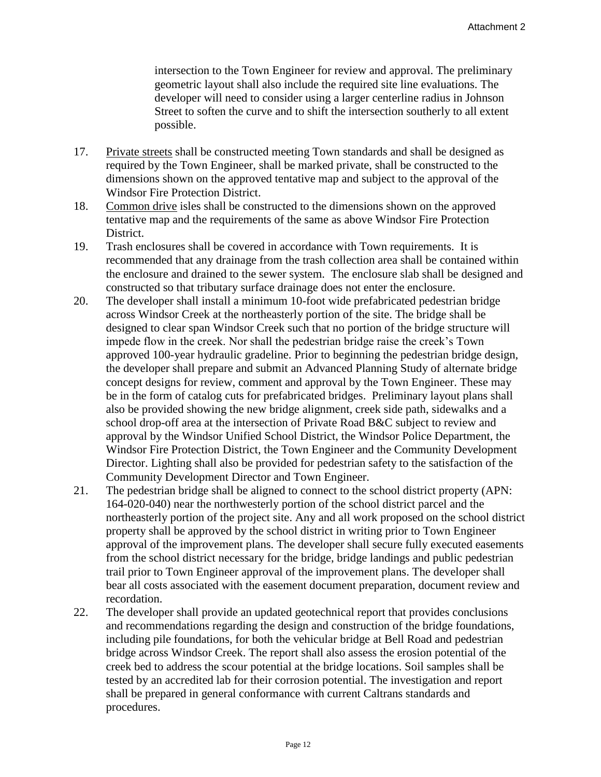intersection to the Town Engineer for review and approval. The preliminary geometric layout shall also include the required site line evaluations. The developer will need to consider using a larger centerline radius in Johnson Street to soften the curve and to shift the intersection southerly to all extent possible.

- 17. Private streets shall be constructed meeting Town standards and shall be designed as required by the Town Engineer, shall be marked private, shall be constructed to the dimensions shown on the approved tentative map and subject to the approval of the Windsor Fire Protection District.
- 18. Common drive isles shall be constructed to the dimensions shown on the approved tentative map and the requirements of the same as above Windsor Fire Protection District.
- 19. Trash enclosures shall be covered in accordance with Town requirements. It is recommended that any drainage from the trash collection area shall be contained within the enclosure and drained to the sewer system. The enclosure slab shall be designed and constructed so that tributary surface drainage does not enter the enclosure.
- 20. The developer shall install a minimum 10-foot wide prefabricated pedestrian bridge across Windsor Creek at the northeasterly portion of the site. The bridge shall be designed to clear span Windsor Creek such that no portion of the bridge structure will impede flow in the creek. Nor shall the pedestrian bridge raise the creek's Town approved 100-year hydraulic gradeline. Prior to beginning the pedestrian bridge design, the developer shall prepare and submit an Advanced Planning Study of alternate bridge concept designs for review, comment and approval by the Town Engineer. These may be in the form of catalog cuts for prefabricated bridges. Preliminary layout plans shall also be provided showing the new bridge alignment, creek side path, sidewalks and a school drop-off area at the intersection of Private Road B&C subject to review and approval by the Windsor Unified School District, the Windsor Police Department, the Windsor Fire Protection District, the Town Engineer and the Community Development Director. Lighting shall also be provided for pedestrian safety to the satisfaction of the Community Development Director and Town Engineer.
- 21. The pedestrian bridge shall be aligned to connect to the school district property (APN: 164-020-040) near the northwesterly portion of the school district parcel and the northeasterly portion of the project site. Any and all work proposed on the school district property shall be approved by the school district in writing prior to Town Engineer approval of the improvement plans. The developer shall secure fully executed easements from the school district necessary for the bridge, bridge landings and public pedestrian trail prior to Town Engineer approval of the improvement plans. The developer shall bear all costs associated with the easement document preparation, document review and recordation.
- 22. The developer shall provide an updated geotechnical report that provides conclusions and recommendations regarding the design and construction of the bridge foundations, including pile foundations, for both the vehicular bridge at Bell Road and pedestrian bridge across Windsor Creek. The report shall also assess the erosion potential of the creek bed to address the scour potential at the bridge locations. Soil samples shall be tested by an accredited lab for their corrosion potential. The investigation and report shall be prepared in general conformance with current Caltrans standards and procedures.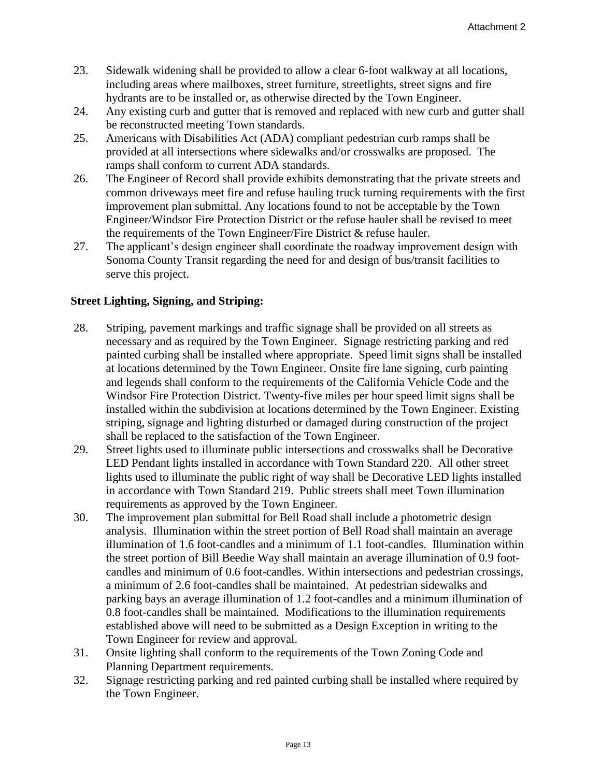- 23. Sidewalk widening shall be provided to allow a clear 6-foot walkway at all locations, including areas where mailboxes, street furniture, streetlights, street signs and fire hydrants are to be installed or, as otherwise directed by the Town Engineer.
- 24. Any existing curb and gutter that is removed and replaced with new curb and gutter shall be reconstructed meeting Town standards.
- 25. Americans with Disabilities Act (ADA) compliant pedestrian curb ramps shall be provided at all intersections where sidewalks and/or crosswalks are proposed. The ramps shall conform to current ADA standards.
- 26. The Engineer of Record shall provide exhibits demonstrating that the private streets and common driveways meet fire and refuse hauling truck turning requirements with the first improvement plan submittal. Any locations found to not be acceptable by the Town Engineer/Windsor Fire Protection District or the refuse hauler shall be revised to meet the requirements of the Town Engineer/Fire District & refuse hauler.
- 27. The applicant's design engineer shall coordinate the roadway improvement design with Sonoma County Transit regarding the need for and design of bus/transit facilities to serve this project.

# **Street Lighting, Signing, and Striping:**

- 28. Striping, pavement markings and traffic signage shall be provided on all streets as necessary and as required by the Town Engineer. Signage restricting parking and red painted curbing shall be installed where appropriate. Speed limit signs shall be installed at locations determined by the Town Engineer. Onsite fire lane signing, curb painting and legends shall conform to the requirements of the California Vehicle Code and the Windsor Fire Protection District. Twenty-five miles per hour speed limit signs shall be installed within the subdivision at locations determined by the Town Engineer. Existing striping, signage and lighting disturbed or damaged during construction of the project shall be replaced to the satisfaction of the Town Engineer.
- 29. Street lights used to illuminate public intersections and crosswalks shall be Decorative LED Pendant lights installed in accordance with Town Standard 220. All other street lights used to illuminate the public right of way shall be Decorative LED lights installed in accordance with Town Standard 219. Public streets shall meet Town illumination requirements as approved by the Town Engineer.
- 30. The improvement plan submittal for Bell Road shall include a photometric design analysis. Illumination within the street portion of Bell Road shall maintain an average illumination of 1.6 foot-candles and a minimum of 1.1 foot-candles. Illumination within the street portion of Bill Beedie Way shall maintain an average illumination of 0.9 footcandles and minimum of 0.6 foot-candles. Within intersections and pedestrian crossings, a minimum of 2.6 foot-candles shall be maintained. At pedestrian sidewalks and parking bays an average illumination of 1.2 foot-candles and a minimum illumination of 0.8 foot-candles shall be maintained. Modifications to the illumination requirements established above will need to be submitted as a Design Exception in writing to the Town Engineer for review and approval.
- 31. Onsite lighting shall conform to the requirements of the Town Zoning Code and Planning Department requirements.
- 32. Signage restricting parking and red painted curbing shall be installed where required by the Town Engineer.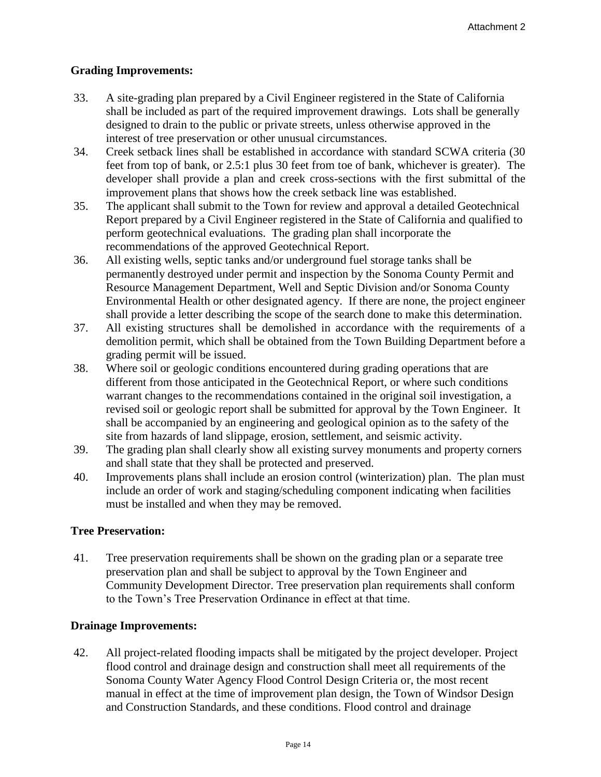# **Grading Improvements:**

- 33. A site-grading plan prepared by a Civil Engineer registered in the State of California shall be included as part of the required improvement drawings. Lots shall be generally designed to drain to the public or private streets, unless otherwise approved in the interest of tree preservation or other unusual circumstances.
- 34. Creek setback lines shall be established in accordance with standard SCWA criteria (30 feet from top of bank, or 2.5:1 plus 30 feet from toe of bank, whichever is greater). The developer shall provide a plan and creek cross-sections with the first submittal of the improvement plans that shows how the creek setback line was established.
- 35. The applicant shall submit to the Town for review and approval a detailed Geotechnical Report prepared by a Civil Engineer registered in the State of California and qualified to perform geotechnical evaluations. The grading plan shall incorporate the recommendations of the approved Geotechnical Report.
- 36. All existing wells, septic tanks and/or underground fuel storage tanks shall be permanently destroyed under permit and inspection by the Sonoma County Permit and Resource Management Department, Well and Septic Division and/or Sonoma County Environmental Health or other designated agency. If there are none, the project engineer shall provide a letter describing the scope of the search done to make this determination.
- 37. All existing structures shall be demolished in accordance with the requirements of a demolition permit, which shall be obtained from the Town Building Department before a grading permit will be issued.
- 38. Where soil or geologic conditions encountered during grading operations that are different from those anticipated in the Geotechnical Report, or where such conditions warrant changes to the recommendations contained in the original soil investigation, a revised soil or geologic report shall be submitted for approval by the Town Engineer. It shall be accompanied by an engineering and geological opinion as to the safety of the site from hazards of land slippage, erosion, settlement, and seismic activity.
- 39. The grading plan shall clearly show all existing survey monuments and property corners and shall state that they shall be protected and preserved.
- 40. Improvements plans shall include an erosion control (winterization) plan. The plan must include an order of work and staging/scheduling component indicating when facilities must be installed and when they may be removed.

# **Tree Preservation:**

41. Tree preservation requirements shall be shown on the grading plan or a separate tree preservation plan and shall be subject to approval by the Town Engineer and Community Development Director. Tree preservation plan requirements shall conform to the Town's Tree Preservation Ordinance in effect at that time.

## **Drainage Improvements:**

42. All project-related flooding impacts shall be mitigated by the project developer. Project flood control and drainage design and construction shall meet all requirements of the Sonoma County Water Agency Flood Control Design Criteria or, the most recent manual in effect at the time of improvement plan design, the Town of Windsor Design and Construction Standards, and these conditions. Flood control and drainage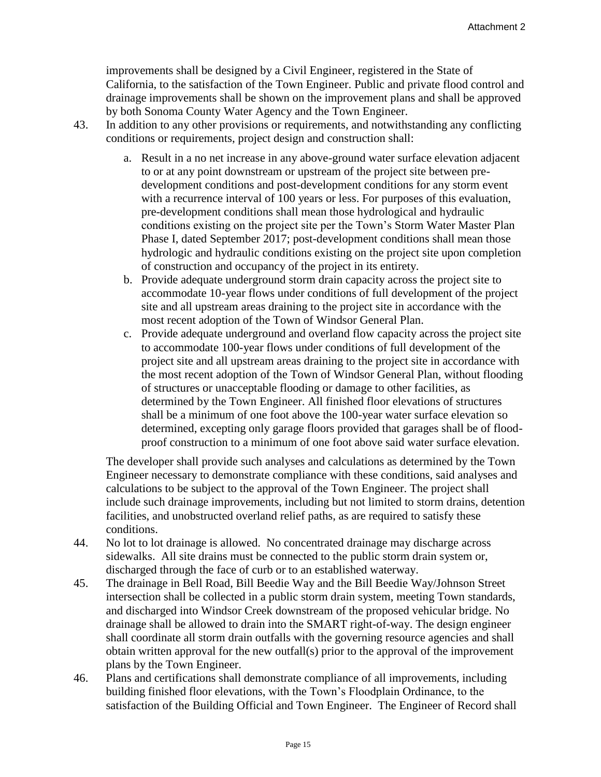improvements shall be designed by a Civil Engineer, registered in the State of California, to the satisfaction of the Town Engineer. Public and private flood control and drainage improvements shall be shown on the improvement plans and shall be approved by both Sonoma County Water Agency and the Town Engineer.

- 43. In addition to any other provisions or requirements, and notwithstanding any conflicting conditions or requirements, project design and construction shall:
	- a. Result in a no net increase in any above-ground water surface elevation adjacent to or at any point downstream or upstream of the project site between predevelopment conditions and post-development conditions for any storm event with a recurrence interval of 100 years or less. For purposes of this evaluation, pre-development conditions shall mean those hydrological and hydraulic conditions existing on the project site per the Town's Storm Water Master Plan Phase I, dated September 2017; post-development conditions shall mean those hydrologic and hydraulic conditions existing on the project site upon completion of construction and occupancy of the project in its entirety.
	- b. Provide adequate underground storm drain capacity across the project site to accommodate 10-year flows under conditions of full development of the project site and all upstream areas draining to the project site in accordance with the most recent adoption of the Town of Windsor General Plan.
	- c. Provide adequate underground and overland flow capacity across the project site to accommodate 100-year flows under conditions of full development of the project site and all upstream areas draining to the project site in accordance with the most recent adoption of the Town of Windsor General Plan, without flooding of structures or unacceptable flooding or damage to other facilities, as determined by the Town Engineer. All finished floor elevations of structures shall be a minimum of one foot above the 100-year water surface elevation so determined, excepting only garage floors provided that garages shall be of floodproof construction to a minimum of one foot above said water surface elevation.

The developer shall provide such analyses and calculations as determined by the Town Engineer necessary to demonstrate compliance with these conditions, said analyses and calculations to be subject to the approval of the Town Engineer. The project shall include such drainage improvements, including but not limited to storm drains, detention facilities, and unobstructed overland relief paths, as are required to satisfy these conditions.

- 44. No lot to lot drainage is allowed. No concentrated drainage may discharge across sidewalks. All site drains must be connected to the public storm drain system or, discharged through the face of curb or to an established waterway.
- 45. The drainage in Bell Road, Bill Beedie Way and the Bill Beedie Way/Johnson Street intersection shall be collected in a public storm drain system, meeting Town standards, and discharged into Windsor Creek downstream of the proposed vehicular bridge. No drainage shall be allowed to drain into the SMART right-of-way. The design engineer shall coordinate all storm drain outfalls with the governing resource agencies and shall obtain written approval for the new outfall(s) prior to the approval of the improvement plans by the Town Engineer.
- 46. Plans and certifications shall demonstrate compliance of all improvements, including building finished floor elevations, with the Town's Floodplain Ordinance, to the satisfaction of the Building Official and Town Engineer. The Engineer of Record shall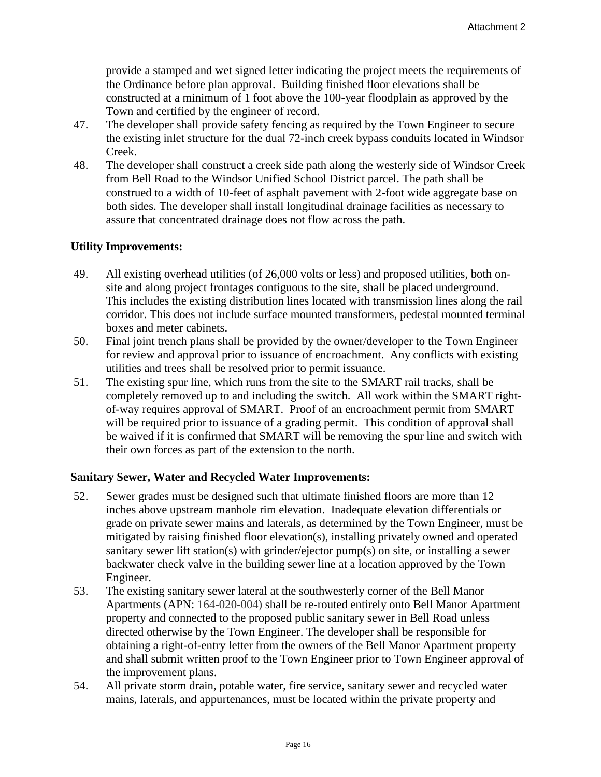provide a stamped and wet signed letter indicating the project meets the requirements of the Ordinance before plan approval. Building finished floor elevations shall be constructed at a minimum of 1 foot above the 100-year floodplain as approved by the Town and certified by the engineer of record.

- 47. The developer shall provide safety fencing as required by the Town Engineer to secure the existing inlet structure for the dual 72-inch creek bypass conduits located in Windsor Creek.
- 48. The developer shall construct a creek side path along the westerly side of Windsor Creek from Bell Road to the Windsor Unified School District parcel. The path shall be construed to a width of 10-feet of asphalt pavement with 2-foot wide aggregate base on both sides. The developer shall install longitudinal drainage facilities as necessary to assure that concentrated drainage does not flow across the path.

## **Utility Improvements:**

- 49. All existing overhead utilities (of 26,000 volts or less) and proposed utilities, both onsite and along project frontages contiguous to the site, shall be placed underground. This includes the existing distribution lines located with transmission lines along the rail corridor. This does not include surface mounted transformers, pedestal mounted terminal boxes and meter cabinets.
- 50. Final joint trench plans shall be provided by the owner/developer to the Town Engineer for review and approval prior to issuance of encroachment. Any conflicts with existing utilities and trees shall be resolved prior to permit issuance.
- 51. The existing spur line, which runs from the site to the SMART rail tracks, shall be completely removed up to and including the switch. All work within the SMART rightof-way requires approval of SMART. Proof of an encroachment permit from SMART will be required prior to issuance of a grading permit. This condition of approval shall be waived if it is confirmed that SMART will be removing the spur line and switch with their own forces as part of the extension to the north.

#### **Sanitary Sewer, Water and Recycled Water Improvements:**

- 52. Sewer grades must be designed such that ultimate finished floors are more than 12 inches above upstream manhole rim elevation. Inadequate elevation differentials or grade on private sewer mains and laterals, as determined by the Town Engineer, must be mitigated by raising finished floor elevation(s), installing privately owned and operated sanitary sewer lift station(s) with grinder/ejector pump(s) on site, or installing a sewer backwater check valve in the building sewer line at a location approved by the Town Engineer.
- 53. The existing sanitary sewer lateral at the southwesterly corner of the Bell Manor Apartments (APN: 164-020-004) shall be re-routed entirely onto Bell Manor Apartment property and connected to the proposed public sanitary sewer in Bell Road unless directed otherwise by the Town Engineer. The developer shall be responsible for obtaining a right-of-entry letter from the owners of the Bell Manor Apartment property and shall submit written proof to the Town Engineer prior to Town Engineer approval of the improvement plans.
- 54. All private storm drain, potable water, fire service, sanitary sewer and recycled water mains, laterals, and appurtenances, must be located within the private property and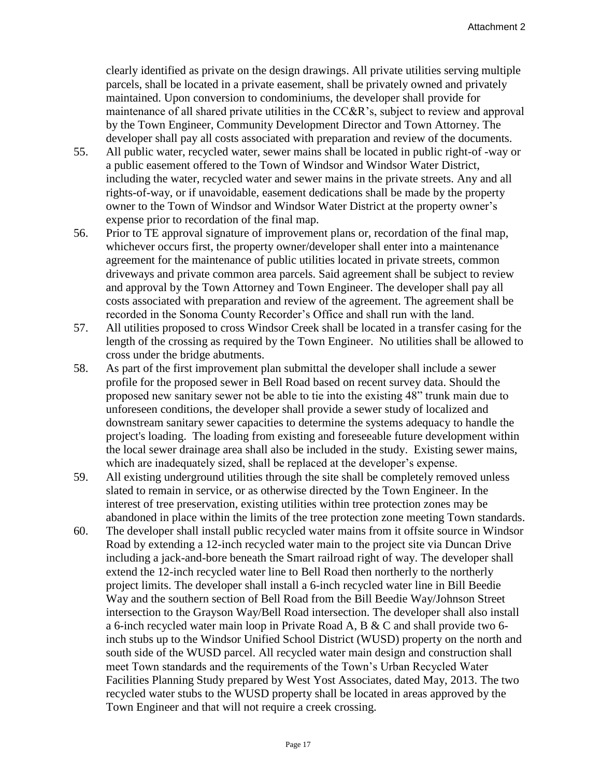clearly identified as private on the design drawings. All private utilities serving multiple parcels, shall be located in a private easement, shall be privately owned and privately maintained. Upon conversion to condominiums, the developer shall provide for maintenance of all shared private utilities in the CC&R's, subject to review and approval by the Town Engineer, Community Development Director and Town Attorney. The developer shall pay all costs associated with preparation and review of the documents.

- 55. All public water, recycled water, sewer mains shall be located in public right-of -way or a public easement offered to the Town of Windsor and Windsor Water District, including the water, recycled water and sewer mains in the private streets. Any and all rights-of-way, or if unavoidable, easement dedications shall be made by the property owner to the Town of Windsor and Windsor Water District at the property owner's expense prior to recordation of the final map.
- 56. Prior to TE approval signature of improvement plans or, recordation of the final map, whichever occurs first, the property owner/developer shall enter into a maintenance agreement for the maintenance of public utilities located in private streets, common driveways and private common area parcels. Said agreement shall be subject to review and approval by the Town Attorney and Town Engineer. The developer shall pay all costs associated with preparation and review of the agreement. The agreement shall be recorded in the Sonoma County Recorder's Office and shall run with the land.
- 57. All utilities proposed to cross Windsor Creek shall be located in a transfer casing for the length of the crossing as required by the Town Engineer. No utilities shall be allowed to cross under the bridge abutments.
- 58. As part of the first improvement plan submittal the developer shall include a sewer profile for the proposed sewer in Bell Road based on recent survey data. Should the proposed new sanitary sewer not be able to tie into the existing 48" trunk main due to unforeseen conditions, the developer shall provide a sewer study of localized and downstream sanitary sewer capacities to determine the systems adequacy to handle the project's loading. The loading from existing and foreseeable future development within the local sewer drainage area shall also be included in the study. Existing sewer mains, which are inadequately sized, shall be replaced at the developer's expense.
- 59. All existing underground utilities through the site shall be completely removed unless slated to remain in service, or as otherwise directed by the Town Engineer. In the interest of tree preservation, existing utilities within tree protection zones may be abandoned in place within the limits of the tree protection zone meeting Town standards.
- 60. The developer shall install public recycled water mains from it offsite source in Windsor Road by extending a 12-inch recycled water main to the project site via Duncan Drive including a jack-and-bore beneath the Smart railroad right of way. The developer shall extend the 12-inch recycled water line to Bell Road then northerly to the northerly project limits. The developer shall install a 6-inch recycled water line in Bill Beedie Way and the southern section of Bell Road from the Bill Beedie Way/Johnson Street intersection to the Grayson Way/Bell Road intersection. The developer shall also install a 6-inch recycled water main loop in Private Road A, B & C and shall provide two 6 inch stubs up to the Windsor Unified School District (WUSD) property on the north and south side of the WUSD parcel. All recycled water main design and construction shall meet Town standards and the requirements of the Town's Urban Recycled Water Facilities Planning Study prepared by West Yost Associates, dated May, 2013. The two recycled water stubs to the WUSD property shall be located in areas approved by the Town Engineer and that will not require a creek crossing.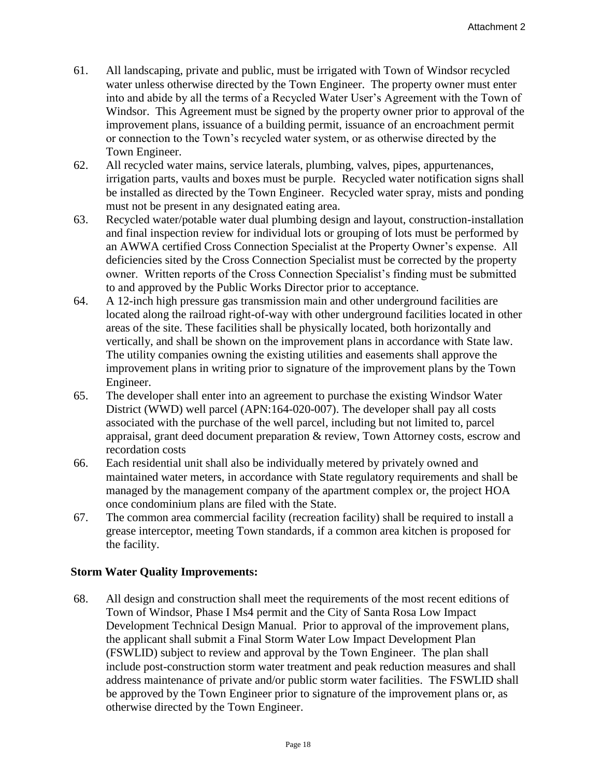- 61. All landscaping, private and public, must be irrigated with Town of Windsor recycled water unless otherwise directed by the Town Engineer. The property owner must enter into and abide by all the terms of a Recycled Water User's Agreement with the Town of Windsor. This Agreement must be signed by the property owner prior to approval of the improvement plans, issuance of a building permit, issuance of an encroachment permit or connection to the Town's recycled water system, or as otherwise directed by the Town Engineer.
- 62. All recycled water mains, service laterals, plumbing, valves, pipes, appurtenances, irrigation parts, vaults and boxes must be purple. Recycled water notification signs shall be installed as directed by the Town Engineer. Recycled water spray, mists and ponding must not be present in any designated eating area.
- 63. Recycled water/potable water dual plumbing design and layout, construction-installation and final inspection review for individual lots or grouping of lots must be performed by an AWWA certified Cross Connection Specialist at the Property Owner's expense. All deficiencies sited by the Cross Connection Specialist must be corrected by the property owner. Written reports of the Cross Connection Specialist's finding must be submitted to and approved by the Public Works Director prior to acceptance.
- 64. A 12-inch high pressure gas transmission main and other underground facilities are located along the railroad right-of-way with other underground facilities located in other areas of the site. These facilities shall be physically located, both horizontally and vertically, and shall be shown on the improvement plans in accordance with State law. The utility companies owning the existing utilities and easements shall approve the improvement plans in writing prior to signature of the improvement plans by the Town Engineer.
- 65. The developer shall enter into an agreement to purchase the existing Windsor Water District (WWD) well parcel (APN:164-020-007). The developer shall pay all costs associated with the purchase of the well parcel, including but not limited to, parcel appraisal, grant deed document preparation & review, Town Attorney costs, escrow and recordation costs
- 66. Each residential unit shall also be individually metered by privately owned and maintained water meters, in accordance with State regulatory requirements and shall be managed by the management company of the apartment complex or, the project HOA once condominium plans are filed with the State.
- 67. The common area commercial facility (recreation facility) shall be required to install a grease interceptor, meeting Town standards, if a common area kitchen is proposed for the facility.

## **Storm Water Quality Improvements:**

68. All design and construction shall meet the requirements of the most recent editions of Town of Windsor, Phase I Ms4 permit and the City of Santa Rosa Low Impact Development Technical Design Manual. Prior to approval of the improvement plans, the applicant shall submit a Final Storm Water Low Impact Development Plan (FSWLID) subject to review and approval by the Town Engineer. The plan shall include post-construction storm water treatment and peak reduction measures and shall address maintenance of private and/or public storm water facilities. The FSWLID shall be approved by the Town Engineer prior to signature of the improvement plans or, as otherwise directed by the Town Engineer.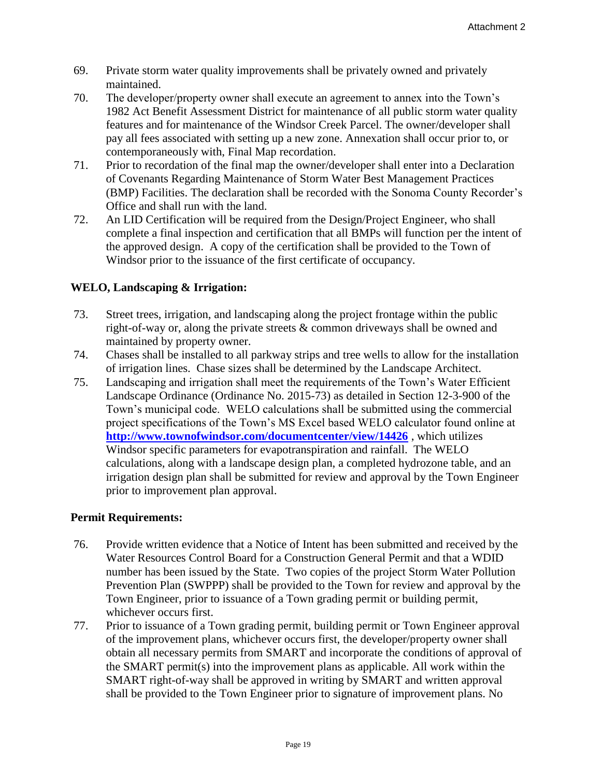- 69. Private storm water quality improvements shall be privately owned and privately maintained.
- 70. The developer/property owner shall execute an agreement to annex into the Town's 1982 Act Benefit Assessment District for maintenance of all public storm water quality features and for maintenance of the Windsor Creek Parcel. The owner/developer shall pay all fees associated with setting up a new zone. Annexation shall occur prior to, or contemporaneously with, Final Map recordation.
- 71. Prior to recordation of the final map the owner/developer shall enter into a Declaration of Covenants Regarding Maintenance of Storm Water Best Management Practices (BMP) Facilities. The declaration shall be recorded with the Sonoma County Recorder's Office and shall run with the land.
- 72. An LID Certification will be required from the Design/Project Engineer, who shall complete a final inspection and certification that all BMPs will function per the intent of the approved design. A copy of the certification shall be provided to the Town of Windsor prior to the issuance of the first certificate of occupancy.

# **WELO, Landscaping & Irrigation:**

- 73. Street trees, irrigation, and landscaping along the project frontage within the public right-of-way or, along the private streets & common driveways shall be owned and maintained by property owner.
- 74. Chases shall be installed to all parkway strips and tree wells to allow for the installation of irrigation lines. Chase sizes shall be determined by the Landscape Architect.
- 75. Landscaping and irrigation shall meet the requirements of the Town's Water Efficient Landscape Ordinance (Ordinance No. 2015-73) as detailed in Section 12-3-900 of the Town's municipal code. WELO calculations shall be submitted using the commercial project specifications of the Town's MS Excel based WELO calculator found online at **<http://www.townofwindsor.com/documentcenter/view/14426>** , which utilizes Windsor specific parameters for evapotranspiration and rainfall. The WELO calculations, along with a landscape design plan, a completed hydrozone table, and an irrigation design plan shall be submitted for review and approval by the Town Engineer prior to improvement plan approval.

## **Permit Requirements:**

- 76. Provide written evidence that a Notice of Intent has been submitted and received by the Water Resources Control Board for a Construction General Permit and that a WDID number has been issued by the State. Two copies of the project Storm Water Pollution Prevention Plan (SWPPP) shall be provided to the Town for review and approval by the Town Engineer, prior to issuance of a Town grading permit or building permit, whichever occurs first.
- 77. Prior to issuance of a Town grading permit, building permit or Town Engineer approval of the improvement plans, whichever occurs first, the developer/property owner shall obtain all necessary permits from SMART and incorporate the conditions of approval of the SMART permit(s) into the improvement plans as applicable. All work within the SMART right-of-way shall be approved in writing by SMART and written approval shall be provided to the Town Engineer prior to signature of improvement plans. No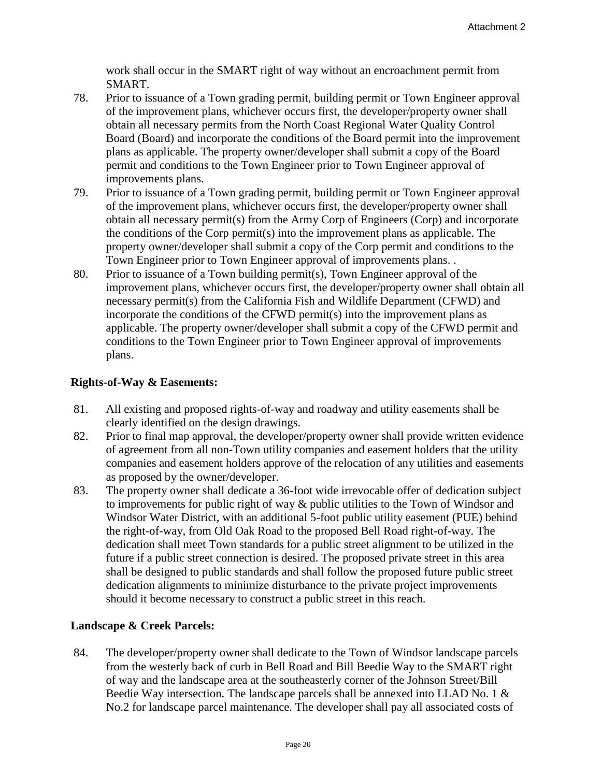work shall occur in the SMART right of way without an encroachment permit from SMART.

- 78. Prior to issuance of a Town grading permit, building permit or Town Engineer approval of the improvement plans, whichever occurs first, the developer/property owner shall obtain all necessary permits from the North Coast Regional Water Quality Control Board (Board) and incorporate the conditions of the Board permit into the improvement plans as applicable. The property owner/developer shall submit a copy of the Board permit and conditions to the Town Engineer prior to Town Engineer approval of improvements plans.
- 79. Prior to issuance of a Town grading permit, building permit or Town Engineer approval of the improvement plans, whichever occurs first, the developer/property owner shall obtain all necessary permit(s) from the Army Corp of Engineers (Corp) and incorporate the conditions of the Corp permit(s) into the improvement plans as applicable. The property owner/developer shall submit a copy of the Corp permit and conditions to the Town Engineer prior to Town Engineer approval of improvements plans. .
- 80. Prior to issuance of a Town building permit(s), Town Engineer approval of the improvement plans, whichever occurs first, the developer/property owner shall obtain all necessary permit(s) from the California Fish and Wildlife Department (CFWD) and incorporate the conditions of the CFWD permit(s) into the improvement plans as applicable. The property owner/developer shall submit a copy of the CFWD permit and conditions to the Town Engineer prior to Town Engineer approval of improvements plans.

# **Rights-of-Way & Easements:**

- 81. All existing and proposed rights-of-way and roadway and utility easements shall be clearly identified on the design drawings.
- 82. Prior to final map approval, the developer/property owner shall provide written evidence of agreement from all non-Town utility companies and easement holders that the utility companies and easement holders approve of the relocation of any utilities and easements as proposed by the owner/developer.
- 83. The property owner shall dedicate a 36-foot wide irrevocable offer of dedication subject to improvements for public right of way & public utilities to the Town of Windsor and Windsor Water District, with an additional 5-foot public utility easement (PUE) behind the right-of-way, from Old Oak Road to the proposed Bell Road right-of-way. The dedication shall meet Town standards for a public street alignment to be utilized in the future if a public street connection is desired. The proposed private street in this area shall be designed to public standards and shall follow the proposed future public street dedication alignments to minimize disturbance to the private project improvements should it become necessary to construct a public street in this reach.

# **Landscape & Creek Parcels:**

84. The developer/property owner shall dedicate to the Town of Windsor landscape parcels from the westerly back of curb in Bell Road and Bill Beedie Way to the SMART right of way and the landscape area at the southeasterly corner of the Johnson Street/Bill Beedie Way intersection. The landscape parcels shall be annexed into LLAD No. 1 & No.2 for landscape parcel maintenance. The developer shall pay all associated costs of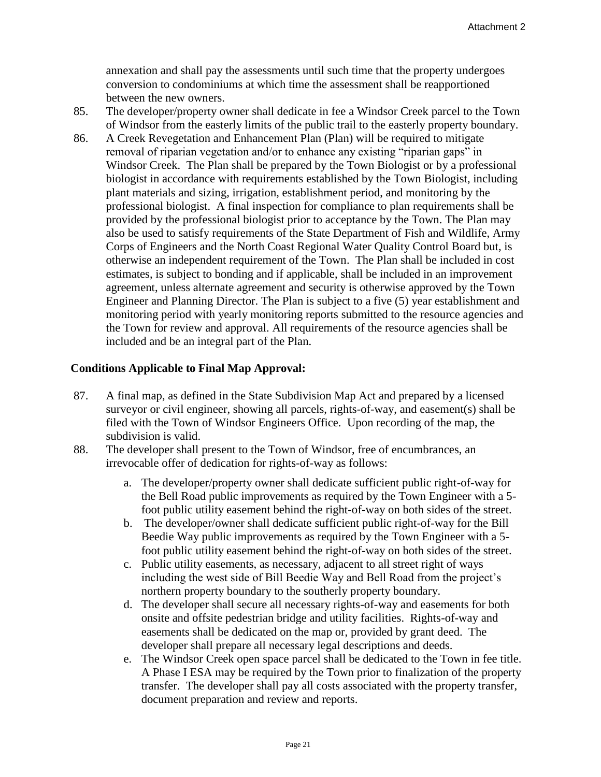annexation and shall pay the assessments until such time that the property undergoes conversion to condominiums at which time the assessment shall be reapportioned between the new owners.

- 85. The developer/property owner shall dedicate in fee a Windsor Creek parcel to the Town of Windsor from the easterly limits of the public trail to the easterly property boundary.
- 86. A Creek Revegetation and Enhancement Plan (Plan) will be required to mitigate removal of riparian vegetation and/or to enhance any existing "riparian gaps" in Windsor Creek. The Plan shall be prepared by the Town Biologist or by a professional biologist in accordance with requirements established by the Town Biologist, including plant materials and sizing, irrigation, establishment period, and monitoring by the professional biologist. A final inspection for compliance to plan requirements shall be provided by the professional biologist prior to acceptance by the Town. The Plan may also be used to satisfy requirements of the State Department of Fish and Wildlife, Army Corps of Engineers and the North Coast Regional Water Quality Control Board but, is otherwise an independent requirement of the Town. The Plan shall be included in cost estimates, is subject to bonding and if applicable, shall be included in an improvement agreement, unless alternate agreement and security is otherwise approved by the Town Engineer and Planning Director. The Plan is subject to a five (5) year establishment and monitoring period with yearly monitoring reports submitted to the resource agencies and the Town for review and approval. All requirements of the resource agencies shall be included and be an integral part of the Plan.

# **Conditions Applicable to Final Map Approval:**

- 87. A final map, as defined in the State Subdivision Map Act and prepared by a licensed surveyor or civil engineer, showing all parcels, rights-of-way, and easement(s) shall be filed with the Town of Windsor Engineers Office. Upon recording of the map, the subdivision is valid.
- 88. The developer shall present to the Town of Windsor, free of encumbrances, an irrevocable offer of dedication for rights-of-way as follows:
	- a. The developer/property owner shall dedicate sufficient public right-of-way for the Bell Road public improvements as required by the Town Engineer with a 5 foot public utility easement behind the right-of-way on both sides of the street.
	- b. The developer/owner shall dedicate sufficient public right-of-way for the Bill Beedie Way public improvements as required by the Town Engineer with a 5 foot public utility easement behind the right-of-way on both sides of the street.
	- c. Public utility easements, as necessary, adjacent to all street right of ways including the west side of Bill Beedie Way and Bell Road from the project's northern property boundary to the southerly property boundary.
	- d. The developer shall secure all necessary rights-of-way and easements for both onsite and offsite pedestrian bridge and utility facilities. Rights-of-way and easements shall be dedicated on the map or, provided by grant deed. The developer shall prepare all necessary legal descriptions and deeds.
	- e. The Windsor Creek open space parcel shall be dedicated to the Town in fee title. A Phase I ESA may be required by the Town prior to finalization of the property transfer. The developer shall pay all costs associated with the property transfer, document preparation and review and reports.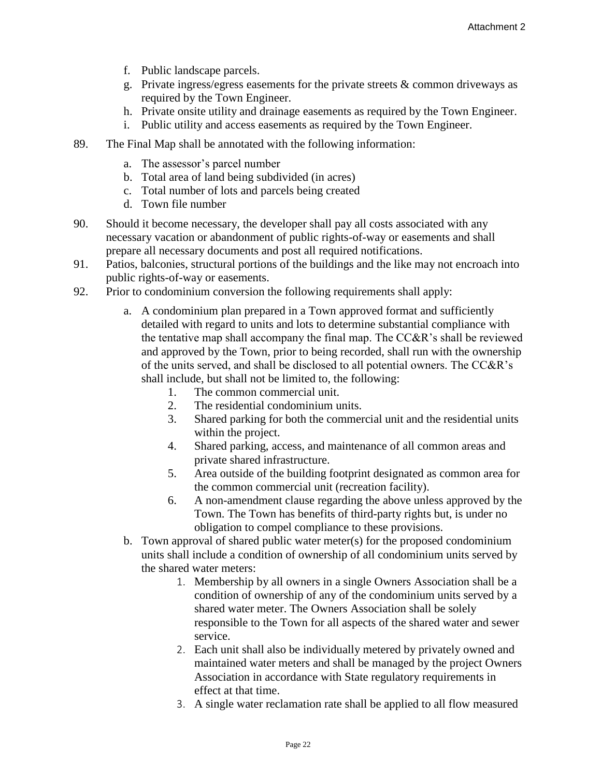- f. Public landscape parcels.
- g. Private ingress/egress easements for the private streets & common driveways as required by the Town Engineer.
- h. Private onsite utility and drainage easements as required by the Town Engineer.
- i. Public utility and access easements as required by the Town Engineer.
- 89. The Final Map shall be annotated with the following information:
	- a. The assessor's parcel number
	- b. Total area of land being subdivided (in acres)
	- c. Total number of lots and parcels being created
	- d. Town file number
- 90. Should it become necessary, the developer shall pay all costs associated with any necessary vacation or abandonment of public rights-of-way or easements and shall prepare all necessary documents and post all required notifications.
- 91. Patios, balconies, structural portions of the buildings and the like may not encroach into public rights-of-way or easements.
- 92. Prior to condominium conversion the following requirements shall apply:
	- a. A condominium plan prepared in a Town approved format and sufficiently detailed with regard to units and lots to determine substantial compliance with the tentative map shall accompany the final map. The CC&R's shall be reviewed and approved by the Town, prior to being recorded, shall run with the ownership of the units served, and shall be disclosed to all potential owners. The CC&R's shall include, but shall not be limited to, the following:
		- 1. The common commercial unit.
		- 2. The residential condominium units.
		- 3. Shared parking for both the commercial unit and the residential units within the project.
		- 4. Shared parking, access, and maintenance of all common areas and private shared infrastructure.
		- 5. Area outside of the building footprint designated as common area for the common commercial unit (recreation facility).
		- 6. A non-amendment clause regarding the above unless approved by the Town. The Town has benefits of third-party rights but, is under no obligation to compel compliance to these provisions.
	- b. Town approval of shared public water meter(s) for the proposed condominium units shall include a condition of ownership of all condominium units served by the shared water meters:
		- 1. Membership by all owners in a single Owners Association shall be a condition of ownership of any of the condominium units served by a shared water meter. The Owners Association shall be solely responsible to the Town for all aspects of the shared water and sewer service.
		- 2. Each unit shall also be individually metered by privately owned and maintained water meters and shall be managed by the project Owners Association in accordance with State regulatory requirements in effect at that time.
		- 3. A single water reclamation rate shall be applied to all flow measured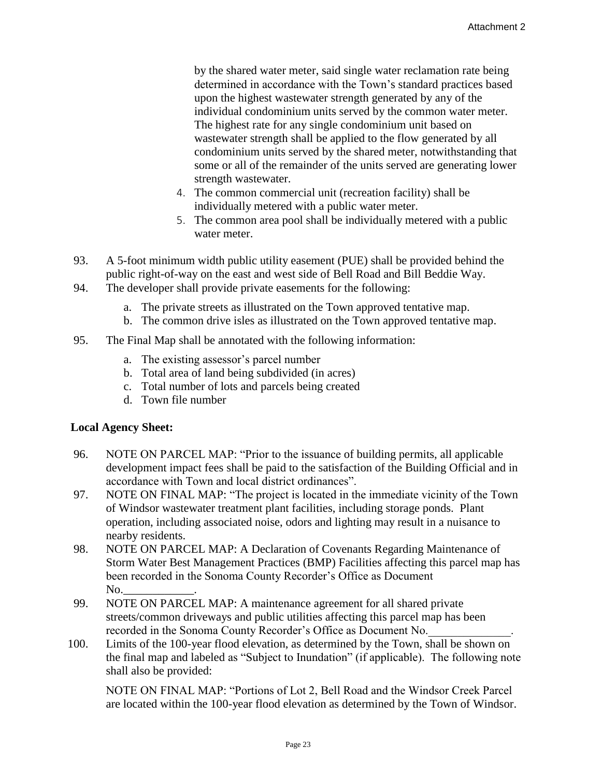by the shared water meter, said single water reclamation rate being determined in accordance with the Town's standard practices based upon the highest wastewater strength generated by any of the individual condominium units served by the common water meter. The highest rate for any single condominium unit based on wastewater strength shall be applied to the flow generated by all condominium units served by the shared meter, notwithstanding that some or all of the remainder of the units served are generating lower strength wastewater.

- 4. The common commercial unit (recreation facility) shall be individually metered with a public water meter.
- 5. The common area pool shall be individually metered with a public water meter.
- 93. A 5-foot minimum width public utility easement (PUE) shall be provided behind the public right-of-way on the east and west side of Bell Road and Bill Beddie Way.
- 94. The developer shall provide private easements for the following:
	- a. The private streets as illustrated on the Town approved tentative map.
	- b. The common drive isles as illustrated on the Town approved tentative map.
- 95. The Final Map shall be annotated with the following information:
	- a. The existing assessor's parcel number
	- b. Total area of land being subdivided (in acres)
	- c. Total number of lots and parcels being created
	- d. Town file number

#### **Local Agency Sheet:**

- 96. NOTE ON PARCEL MAP: "Prior to the issuance of building permits, all applicable development impact fees shall be paid to the satisfaction of the Building Official and in accordance with Town and local district ordinances".
- 97. NOTE ON FINAL MAP: "The project is located in the immediate vicinity of the Town of Windsor wastewater treatment plant facilities, including storage ponds. Plant operation, including associated noise, odors and lighting may result in a nuisance to nearby residents.
- 98. NOTE ON PARCEL MAP: A Declaration of Covenants Regarding Maintenance of Storm Water Best Management Practices (BMP) Facilities affecting this parcel map has been recorded in the Sonoma County Recorder's Office as Document No.
- 99. NOTE ON PARCEL MAP: A maintenance agreement for all shared private streets/common driveways and public utilities affecting this parcel map has been recorded in the Sonoma County Recorder's Office as Document No.
- 100. Limits of the 100-year flood elevation, as determined by the Town, shall be shown on the final map and labeled as "Subject to Inundation" (if applicable). The following note shall also be provided:

NOTE ON FINAL MAP: "Portions of Lot 2, Bell Road and the Windsor Creek Parcel are located within the 100-year flood elevation as determined by the Town of Windsor.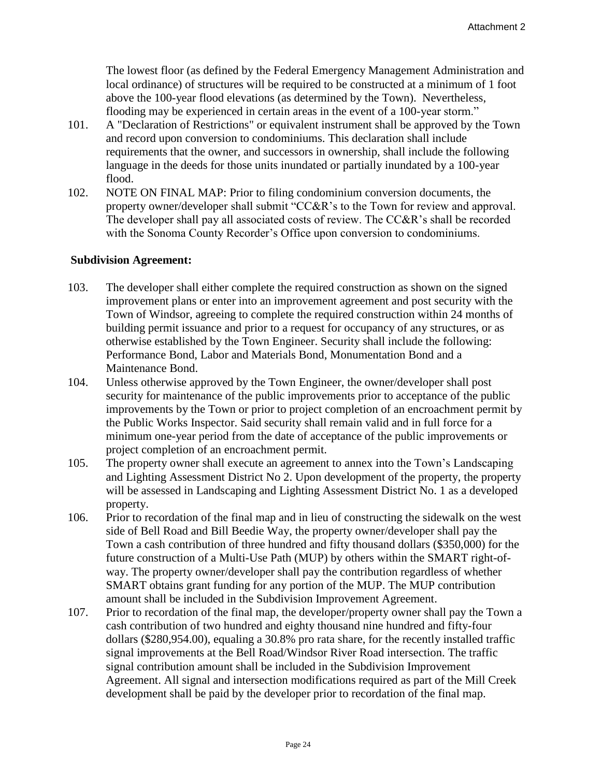The lowest floor (as defined by the Federal Emergency Management Administration and local ordinance) of structures will be required to be constructed at a minimum of 1 foot above the 100-year flood elevations (as determined by the Town). Nevertheless, flooding may be experienced in certain areas in the event of a 100-year storm."

- 101. A "Declaration of Restrictions" or equivalent instrument shall be approved by the Town and record upon conversion to condominiums. This declaration shall include requirements that the owner, and successors in ownership, shall include the following language in the deeds for those units inundated or partially inundated by a 100-year flood.
- 102. NOTE ON FINAL MAP: Prior to filing condominium conversion documents, the property owner/developer shall submit "CC&R's to the Town for review and approval. The developer shall pay all associated costs of review. The CC&R's shall be recorded with the Sonoma County Recorder's Office upon conversion to condominiums.

#### **Subdivision Agreement:**

- 103. The developer shall either complete the required construction as shown on the signed improvement plans or enter into an improvement agreement and post security with the Town of Windsor, agreeing to complete the required construction within 24 months of building permit issuance and prior to a request for occupancy of any structures, or as otherwise established by the Town Engineer. Security shall include the following: Performance Bond, Labor and Materials Bond, Monumentation Bond and a Maintenance Bond.
- 104. Unless otherwise approved by the Town Engineer, the owner/developer shall post security for maintenance of the public improvements prior to acceptance of the public improvements by the Town or prior to project completion of an encroachment permit by the Public Works Inspector. Said security shall remain valid and in full force for a minimum one-year period from the date of acceptance of the public improvements or project completion of an encroachment permit.
- 105. The property owner shall execute an agreement to annex into the Town's Landscaping and Lighting Assessment District No 2. Upon development of the property, the property will be assessed in Landscaping and Lighting Assessment District No. 1 as a developed property.
- 106. Prior to recordation of the final map and in lieu of constructing the sidewalk on the west side of Bell Road and Bill Beedie Way, the property owner/developer shall pay the Town a cash contribution of three hundred and fifty thousand dollars (\$350,000) for the future construction of a Multi-Use Path (MUP) by others within the SMART right-ofway. The property owner/developer shall pay the contribution regardless of whether SMART obtains grant funding for any portion of the MUP. The MUP contribution amount shall be included in the Subdivision Improvement Agreement.
- 107. Prior to recordation of the final map, the developer/property owner shall pay the Town a cash contribution of two hundred and eighty thousand nine hundred and fifty-four dollars (\$280,954.00), equaling a 30.8% pro rata share, for the recently installed traffic signal improvements at the Bell Road/Windsor River Road intersection. The traffic signal contribution amount shall be included in the Subdivision Improvement Agreement. All signal and intersection modifications required as part of the Mill Creek development shall be paid by the developer prior to recordation of the final map.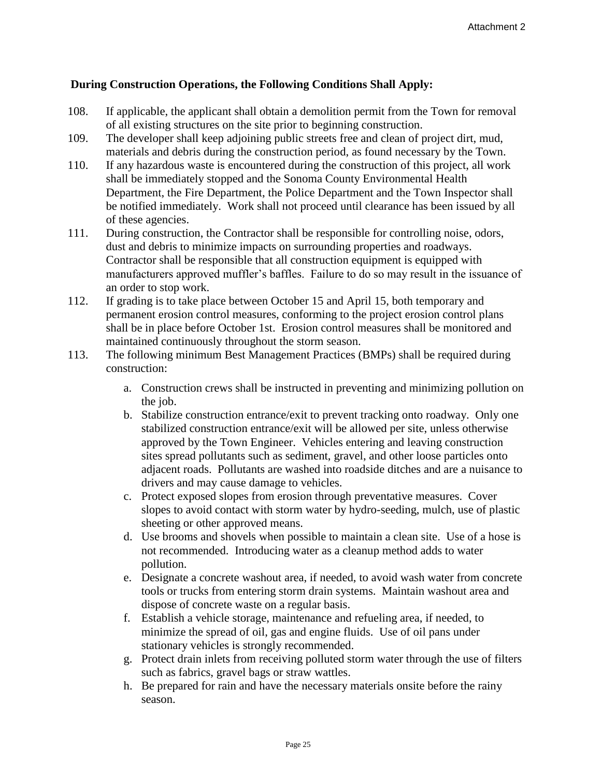# **During Construction Operations, the Following Conditions Shall Apply:**

- 108. If applicable, the applicant shall obtain a demolition permit from the Town for removal of all existing structures on the site prior to beginning construction.
- 109. The developer shall keep adjoining public streets free and clean of project dirt, mud, materials and debris during the construction period, as found necessary by the Town.
- 110. If any hazardous waste is encountered during the construction of this project, all work shall be immediately stopped and the Sonoma County Environmental Health Department, the Fire Department, the Police Department and the Town Inspector shall be notified immediately. Work shall not proceed until clearance has been issued by all of these agencies.
- 111. During construction, the Contractor shall be responsible for controlling noise, odors, dust and debris to minimize impacts on surrounding properties and roadways. Contractor shall be responsible that all construction equipment is equipped with manufacturers approved muffler's baffles. Failure to do so may result in the issuance of an order to stop work.
- 112. If grading is to take place between October 15 and April 15, both temporary and permanent erosion control measures, conforming to the project erosion control plans shall be in place before October 1st. Erosion control measures shall be monitored and maintained continuously throughout the storm season.
- 113. The following minimum Best Management Practices (BMPs) shall be required during construction:
	- a. Construction crews shall be instructed in preventing and minimizing pollution on the job.
	- b. Stabilize construction entrance/exit to prevent tracking onto roadway. Only one stabilized construction entrance/exit will be allowed per site, unless otherwise approved by the Town Engineer. Vehicles entering and leaving construction sites spread pollutants such as sediment, gravel, and other loose particles onto adjacent roads. Pollutants are washed into roadside ditches and are a nuisance to drivers and may cause damage to vehicles.
	- c. Protect exposed slopes from erosion through preventative measures. Cover slopes to avoid contact with storm water by hydro-seeding, mulch, use of plastic sheeting or other approved means.
	- d. Use brooms and shovels when possible to maintain a clean site. Use of a hose is not recommended. Introducing water as a cleanup method adds to water pollution.
	- e. Designate a concrete washout area, if needed, to avoid wash water from concrete tools or trucks from entering storm drain systems. Maintain washout area and dispose of concrete waste on a regular basis.
	- f. Establish a vehicle storage, maintenance and refueling area, if needed, to minimize the spread of oil, gas and engine fluids. Use of oil pans under stationary vehicles is strongly recommended.
	- g. Protect drain inlets from receiving polluted storm water through the use of filters such as fabrics, gravel bags or straw wattles.
	- h. Be prepared for rain and have the necessary materials onsite before the rainy season.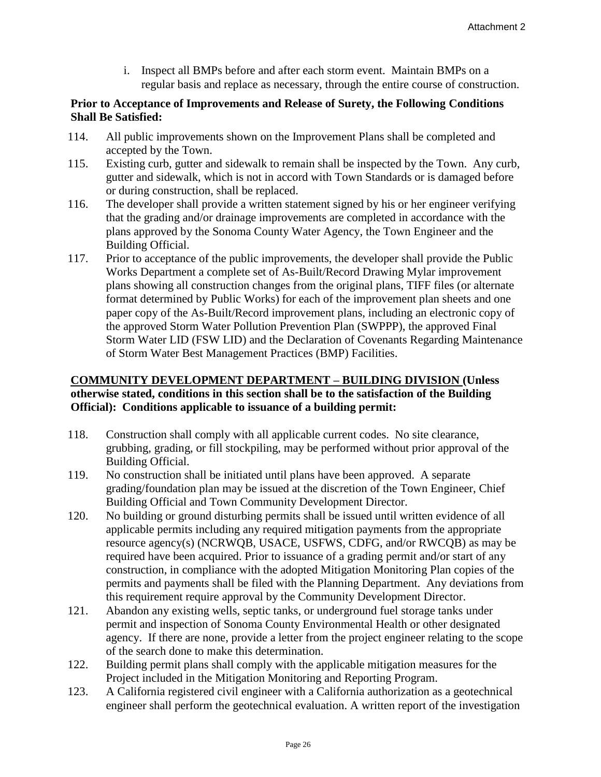i. Inspect all BMPs before and after each storm event. Maintain BMPs on a regular basis and replace as necessary, through the entire course of construction.

# **Prior to Acceptance of Improvements and Release of Surety, the Following Conditions Shall Be Satisfied:**

- 114. All public improvements shown on the Improvement Plans shall be completed and accepted by the Town.
- 115. Existing curb, gutter and sidewalk to remain shall be inspected by the Town. Any curb, gutter and sidewalk, which is not in accord with Town Standards or is damaged before or during construction, shall be replaced.
- 116. The developer shall provide a written statement signed by his or her engineer verifying that the grading and/or drainage improvements are completed in accordance with the plans approved by the Sonoma County Water Agency, the Town Engineer and the Building Official.
- 117. Prior to acceptance of the public improvements, the developer shall provide the Public Works Department a complete set of As-Built/Record Drawing Mylar improvement plans showing all construction changes from the original plans, TIFF files (or alternate format determined by Public Works) for each of the improvement plan sheets and one paper copy of the As-Built/Record improvement plans, including an electronic copy of the approved Storm Water Pollution Prevention Plan (SWPPP), the approved Final Storm Water LID (FSW LID) and the Declaration of Covenants Regarding Maintenance of Storm Water Best Management Practices (BMP) Facilities.

# **COMMUNITY DEVELOPMENT DEPARTMENT – BUILDING DIVISION (Unless otherwise stated, conditions in this section shall be to the satisfaction of the Building Official): Conditions applicable to issuance of a building permit:**

- 118. Construction shall comply with all applicable current codes. No site clearance, grubbing, grading, or fill stockpiling, may be performed without prior approval of the Building Official.
- 119. No construction shall be initiated until plans have been approved. A separate grading/foundation plan may be issued at the discretion of the Town Engineer, Chief Building Official and Town Community Development Director.
- 120. No building or ground disturbing permits shall be issued until written evidence of all applicable permits including any required mitigation payments from the appropriate resource agency(s) (NCRWQB, USACE, USFWS, CDFG, and/or RWCQB) as may be required have been acquired. Prior to issuance of a grading permit and/or start of any construction, in compliance with the adopted Mitigation Monitoring Plan copies of the permits and payments shall be filed with the Planning Department. Any deviations from this requirement require approval by the Community Development Director.
- 121. Abandon any existing wells, septic tanks, or underground fuel storage tanks under permit and inspection of Sonoma County Environmental Health or other designated agency. If there are none, provide a letter from the project engineer relating to the scope of the search done to make this determination.
- 122. Building permit plans shall comply with the applicable mitigation measures for the Project included in the Mitigation Monitoring and Reporting Program.
- 123. A California registered civil engineer with a California authorization as a geotechnical engineer shall perform the geotechnical evaluation. A written report of the investigation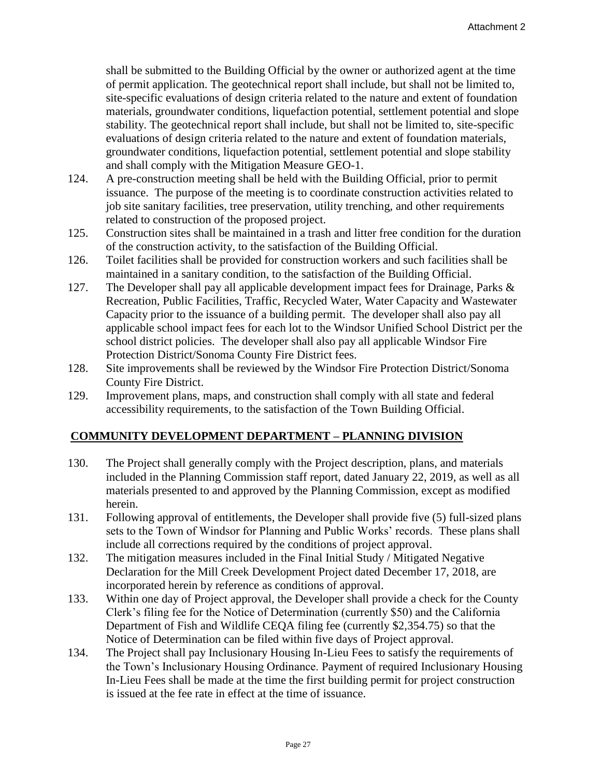shall be submitted to the Building Official by the owner or authorized agent at the time of permit application. The geotechnical report shall include, but shall not be limited to, site-specific evaluations of design criteria related to the nature and extent of foundation materials, groundwater conditions, liquefaction potential, settlement potential and slope stability. The geotechnical report shall include, but shall not be limited to, site-specific evaluations of design criteria related to the nature and extent of foundation materials, groundwater conditions, liquefaction potential, settlement potential and slope stability and shall comply with the Mitigation Measure GEO-1.

- 124. A pre-construction meeting shall be held with the Building Official, prior to permit issuance. The purpose of the meeting is to coordinate construction activities related to job site sanitary facilities, tree preservation, utility trenching, and other requirements related to construction of the proposed project.
- 125. Construction sites shall be maintained in a trash and litter free condition for the duration of the construction activity, to the satisfaction of the Building Official.
- 126. Toilet facilities shall be provided for construction workers and such facilities shall be maintained in a sanitary condition, to the satisfaction of the Building Official.
- 127. The Developer shall pay all applicable development impact fees for Drainage, Parks & Recreation, Public Facilities, Traffic, Recycled Water, Water Capacity and Wastewater Capacity prior to the issuance of a building permit. The developer shall also pay all applicable school impact fees for each lot to the Windsor Unified School District per the school district policies. The developer shall also pay all applicable Windsor Fire Protection District/Sonoma County Fire District fees.
- 128. Site improvements shall be reviewed by the Windsor Fire Protection District/Sonoma County Fire District.
- 129. Improvement plans, maps, and construction shall comply with all state and federal accessibility requirements, to the satisfaction of the Town Building Official.

# **COMMUNITY DEVELOPMENT DEPARTMENT – PLANNING DIVISION**

- 130. The Project shall generally comply with the Project description, plans, and materials included in the Planning Commission staff report, dated January 22, 2019, as well as all materials presented to and approved by the Planning Commission, except as modified herein.
- 131. Following approval of entitlements, the Developer shall provide five (5) full-sized plans sets to the Town of Windsor for Planning and Public Works' records. These plans shall include all corrections required by the conditions of project approval.
- 132. The mitigation measures included in the Final Initial Study / Mitigated Negative Declaration for the Mill Creek Development Project dated December 17, 2018, are incorporated herein by reference as conditions of approval.
- 133. Within one day of Project approval, the Developer shall provide a check for the County Clerk's filing fee for the Notice of Determination (currently \$50) and the California Department of Fish and Wildlife CEQA filing fee (currently \$2,354.75) so that the Notice of Determination can be filed within five days of Project approval.
- 134. The Project shall pay Inclusionary Housing In-Lieu Fees to satisfy the requirements of the Town's Inclusionary Housing Ordinance. Payment of required Inclusionary Housing In-Lieu Fees shall be made at the time the first building permit for project construction is issued at the fee rate in effect at the time of issuance.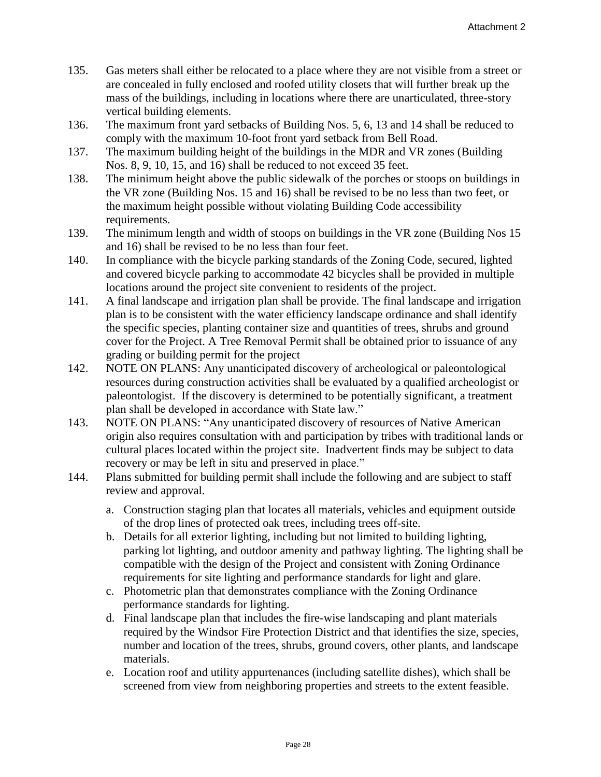- 135. Gas meters shall either be relocated to a place where they are not visible from a street or are concealed in fully enclosed and roofed utility closets that will further break up the mass of the buildings, including in locations where there are unarticulated, three-story vertical building elements.
- 136. The maximum front yard setbacks of Building Nos. 5, 6, 13 and 14 shall be reduced to comply with the maximum 10-foot front yard setback from Bell Road.
- 137. The maximum building height of the buildings in the MDR and VR zones (Building Nos. 8, 9, 10, 15, and 16) shall be reduced to not exceed 35 feet.
- 138. The minimum height above the public sidewalk of the porches or stoops on buildings in the VR zone (Building Nos. 15 and 16) shall be revised to be no less than two feet, or the maximum height possible without violating Building Code accessibility requirements.
- 139. The minimum length and width of stoops on buildings in the VR zone (Building Nos 15 and 16) shall be revised to be no less than four feet.
- 140. In compliance with the bicycle parking standards of the Zoning Code, secured, lighted and covered bicycle parking to accommodate 42 bicycles shall be provided in multiple locations around the project site convenient to residents of the project.
- 141. A final landscape and irrigation plan shall be provide. The final landscape and irrigation plan is to be consistent with the water efficiency landscape ordinance and shall identify the specific species, planting container size and quantities of trees, shrubs and ground cover for the Project. A Tree Removal Permit shall be obtained prior to issuance of any grading or building permit for the project
- 142. NOTE ON PLANS: Any unanticipated discovery of archeological or paleontological resources during construction activities shall be evaluated by a qualified archeologist or paleontologist. If the discovery is determined to be potentially significant, a treatment plan shall be developed in accordance with State law."
- 143. NOTE ON PLANS: "Any unanticipated discovery of resources of Native American origin also requires consultation with and participation by tribes with traditional lands or cultural places located within the project site. Inadvertent finds may be subject to data recovery or may be left in situ and preserved in place."
- 144. Plans submitted for building permit shall include the following and are subject to staff review and approval.
	- a. Construction staging plan that locates all materials, vehicles and equipment outside of the drop lines of protected oak trees, including trees off-site.
	- b. Details for all exterior lighting, including but not limited to building lighting, parking lot lighting, and outdoor amenity and pathway lighting. The lighting shall be compatible with the design of the Project and consistent with Zoning Ordinance requirements for site lighting and performance standards for light and glare.
	- c. Photometric plan that demonstrates compliance with the Zoning Ordinance performance standards for lighting.
	- d. Final landscape plan that includes the fire-wise landscaping and plant materials required by the Windsor Fire Protection District and that identifies the size, species, number and location of the trees, shrubs, ground covers, other plants, and landscape materials.
	- e. Location roof and utility appurtenances (including satellite dishes), which shall be screened from view from neighboring properties and streets to the extent feasible.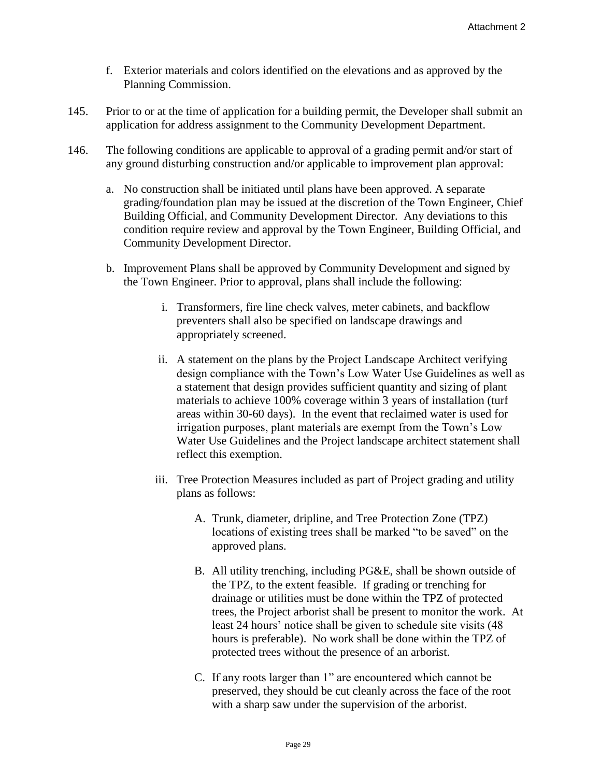- f. Exterior materials and colors identified on the elevations and as approved by the Planning Commission.
- 145. Prior to or at the time of application for a building permit, the Developer shall submit an application for address assignment to the Community Development Department.
- 146. The following conditions are applicable to approval of a grading permit and/or start of any ground disturbing construction and/or applicable to improvement plan approval:
	- a. No construction shall be initiated until plans have been approved. A separate grading/foundation plan may be issued at the discretion of the Town Engineer, Chief Building Official, and Community Development Director. Any deviations to this condition require review and approval by the Town Engineer, Building Official, and Community Development Director.
	- b. Improvement Plans shall be approved by Community Development and signed by the Town Engineer. Prior to approval, plans shall include the following:
		- i. Transformers, fire line check valves, meter cabinets, and backflow preventers shall also be specified on landscape drawings and appropriately screened.
		- ii. A statement on the plans by the Project Landscape Architect verifying design compliance with the Town's Low Water Use Guidelines as well as a statement that design provides sufficient quantity and sizing of plant materials to achieve 100% coverage within 3 years of installation (turf areas within 30-60 days). In the event that reclaimed water is used for irrigation purposes, plant materials are exempt from the Town's Low Water Use Guidelines and the Project landscape architect statement shall reflect this exemption.
		- iii. Tree Protection Measures included as part of Project grading and utility plans as follows:
			- A. Trunk, diameter, dripline, and Tree Protection Zone (TPZ) locations of existing trees shall be marked "to be saved" on the approved plans.
			- B. All utility trenching, including PG&E, shall be shown outside of the TPZ, to the extent feasible. If grading or trenching for drainage or utilities must be done within the TPZ of protected trees, the Project arborist shall be present to monitor the work. At least 24 hours' notice shall be given to schedule site visits (48 hours is preferable). No work shall be done within the TPZ of protected trees without the presence of an arborist.
			- C. If any roots larger than 1" are encountered which cannot be preserved, they should be cut cleanly across the face of the root with a sharp saw under the supervision of the arborist.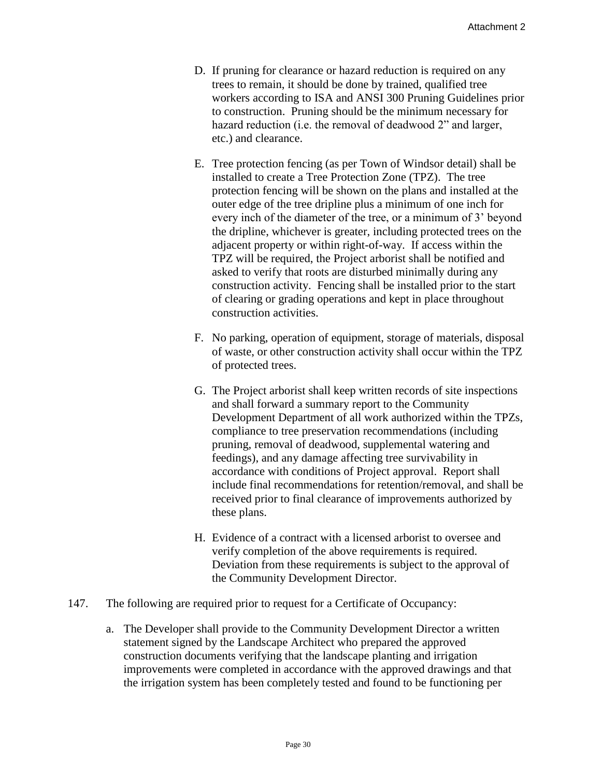- D. If pruning for clearance or hazard reduction is required on any trees to remain, it should be done by trained, qualified tree workers according to ISA and ANSI 300 Pruning Guidelines prior to construction. Pruning should be the minimum necessary for hazard reduction (i.e. the removal of deadwood 2" and larger, etc.) and clearance.
- E. Tree protection fencing (as per Town of Windsor detail) shall be installed to create a Tree Protection Zone (TPZ). The tree protection fencing will be shown on the plans and installed at the outer edge of the tree dripline plus a minimum of one inch for every inch of the diameter of the tree, or a minimum of 3' beyond the dripline, whichever is greater, including protected trees on the adjacent property or within right-of-way. If access within the TPZ will be required, the Project arborist shall be notified and asked to verify that roots are disturbed minimally during any construction activity. Fencing shall be installed prior to the start of clearing or grading operations and kept in place throughout construction activities.
- F. No parking, operation of equipment, storage of materials, disposal of waste, or other construction activity shall occur within the TPZ of protected trees.
- G. The Project arborist shall keep written records of site inspections and shall forward a summary report to the Community Development Department of all work authorized within the TPZs, compliance to tree preservation recommendations (including pruning, removal of deadwood, supplemental watering and feedings), and any damage affecting tree survivability in accordance with conditions of Project approval. Report shall include final recommendations for retention/removal, and shall be received prior to final clearance of improvements authorized by these plans.
- H. Evidence of a contract with a licensed arborist to oversee and verify completion of the above requirements is required. Deviation from these requirements is subject to the approval of the Community Development Director.
- 147. The following are required prior to request for a Certificate of Occupancy:
	- a. The Developer shall provide to the Community Development Director a written statement signed by the Landscape Architect who prepared the approved construction documents verifying that the landscape planting and irrigation improvements were completed in accordance with the approved drawings and that the irrigation system has been completely tested and found to be functioning per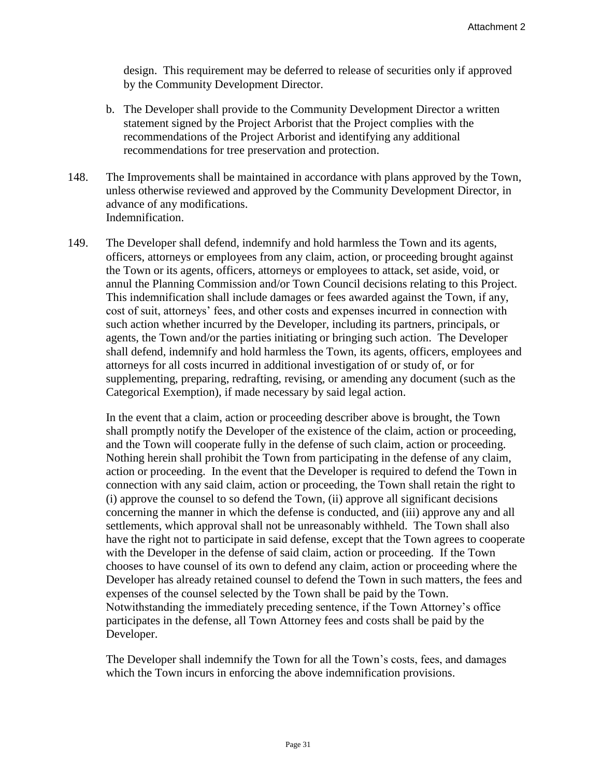design. This requirement may be deferred to release of securities only if approved by the Community Development Director.

- b. The Developer shall provide to the Community Development Director a written statement signed by the Project Arborist that the Project complies with the recommendations of the Project Arborist and identifying any additional recommendations for tree preservation and protection.
- 148. The Improvements shall be maintained in accordance with plans approved by the Town, unless otherwise reviewed and approved by the Community Development Director, in advance of any modifications. Indemnification.
- 149. The Developer shall defend, indemnify and hold harmless the Town and its agents, officers, attorneys or employees from any claim, action, or proceeding brought against the Town or its agents, officers, attorneys or employees to attack, set aside, void, or annul the Planning Commission and/or Town Council decisions relating to this Project. This indemnification shall include damages or fees awarded against the Town, if any, cost of suit, attorneys' fees, and other costs and expenses incurred in connection with such action whether incurred by the Developer, including its partners, principals, or agents, the Town and/or the parties initiating or bringing such action. The Developer shall defend, indemnify and hold harmless the Town, its agents, officers, employees and attorneys for all costs incurred in additional investigation of or study of, or for supplementing, preparing, redrafting, revising, or amending any document (such as the Categorical Exemption), if made necessary by said legal action.

In the event that a claim, action or proceeding describer above is brought, the Town shall promptly notify the Developer of the existence of the claim, action or proceeding, and the Town will cooperate fully in the defense of such claim, action or proceeding. Nothing herein shall prohibit the Town from participating in the defense of any claim, action or proceeding. In the event that the Developer is required to defend the Town in connection with any said claim, action or proceeding, the Town shall retain the right to (i) approve the counsel to so defend the Town, (ii) approve all significant decisions concerning the manner in which the defense is conducted, and (iii) approve any and all settlements, which approval shall not be unreasonably withheld. The Town shall also have the right not to participate in said defense, except that the Town agrees to cooperate with the Developer in the defense of said claim, action or proceeding. If the Town chooses to have counsel of its own to defend any claim, action or proceeding where the Developer has already retained counsel to defend the Town in such matters, the fees and expenses of the counsel selected by the Town shall be paid by the Town. Notwithstanding the immediately preceding sentence, if the Town Attorney's office participates in the defense, all Town Attorney fees and costs shall be paid by the Developer.

The Developer shall indemnify the Town for all the Town's costs, fees, and damages which the Town incurs in enforcing the above indemnification provisions.